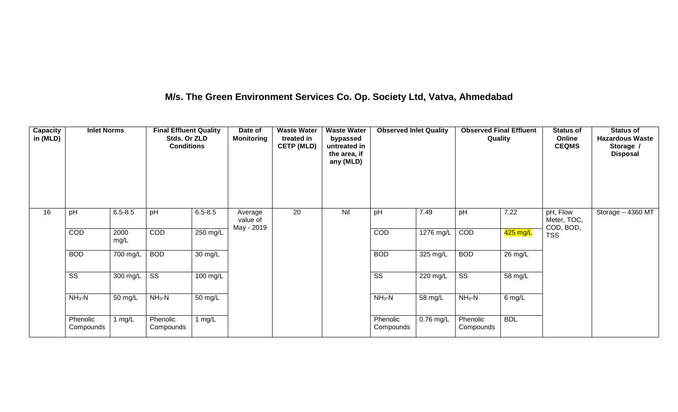## **M/s. The Green Environment Services Co. Op. Society Ltd, Vatva, Ahmedabad**

| Capacity<br>in (MLD) | <b>Inlet Norms</b>     |              | <b>Final Effluent Quality</b><br>Stds. Or ZLD<br><b>Conditions</b> |                    | Date of<br><b>Monitoring</b>      | <b>Waste Water</b><br>treated in<br><b>CETP (MLD)</b> | <b>Waste Water</b><br>bypassed<br>untreated in<br>the area, if<br>any (MLD) | <b>Observed Inlet Quality</b> |                    | <b>Observed Final Effluent</b><br>Quality |            | <b>Status of</b><br>Online<br><b>CEQMS</b> | <b>Status of</b><br><b>Hazardous Waste</b><br>Storage /<br><b>Disposal</b> |
|----------------------|------------------------|--------------|--------------------------------------------------------------------|--------------------|-----------------------------------|-------------------------------------------------------|-----------------------------------------------------------------------------|-------------------------------|--------------------|-------------------------------------------|------------|--------------------------------------------|----------------------------------------------------------------------------|
| 16                   | pH                     | $6.5 - 8.5$  | pH                                                                 | $6.5 - 8.5$        | Average<br>value of<br>May - 2019 | 20                                                    | Nil                                                                         | pH                            | 7.49               | pH                                        | 7.22       | pH, Flow<br>Meter, TOC,<br>COD, BOD,       | Storage - 4360 MT                                                          |
|                      | COD                    | 2000<br>mg/L | COD                                                                | 250 mg/L           |                                   |                                                       |                                                                             | COD                           | 1276 mg/L          | COD                                       | $425$ mg/L | <b>TSS</b>                                 |                                                                            |
|                      | <b>BOD</b>             | 700 mg/L     | <b>BOD</b>                                                         | 30 mg/L            |                                   |                                                       |                                                                             | <b>BOD</b>                    | $325 \text{ mg/L}$ | <b>BOD</b>                                | 26 mg/L    |                                            |                                                                            |
|                      | $\overline{\text{ss}}$ | 300 mg/L     | $\overline{\text{ss}}$                                             | $100 \text{ mg/L}$ |                                   |                                                       |                                                                             | $\overline{\text{ss}}$        | $220 \text{ mg/L}$ | $\overline{\text{ss}}$                    | 58 mg/L    |                                            |                                                                            |
|                      | $NH3-N$                | 50 mg/L      | $NH3-N$                                                            | 50 mg/L            |                                   |                                                       |                                                                             | $NH3-N$                       | 58 mg/L            | $NH3-N$                                   | $6$ mg/L   |                                            |                                                                            |
|                      | Phenolic<br>Compounds  | 1 $mg/L$     | Phenolic<br>Compounds                                              | 1 $mg/L$           |                                   |                                                       |                                                                             | Phenolic<br>Compounds         | $0.76$ mg/L        | Phenolic<br>Compounds                     | <b>BDL</b> |                                            |                                                                            |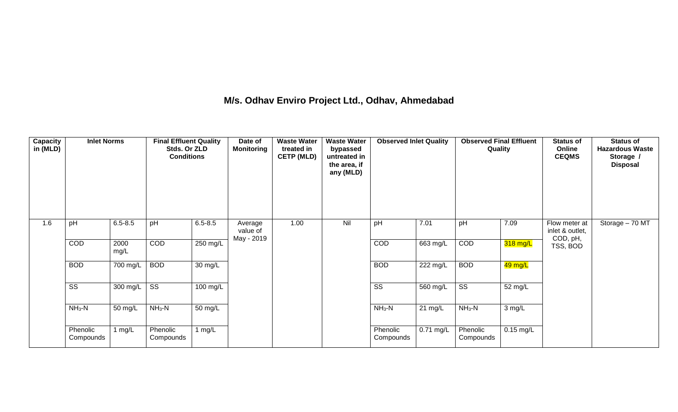## **M/s. Odhav Enviro Project Ltd., Odhav, Ahmedabad**

| Capacity<br>in (MLD) | <b>Inlet Norms</b>     |                    | <b>Final Effluent Quality</b><br>Stds. Or ZLD<br><b>Conditions</b> |                      | Date of<br><b>Monitoring</b>      | <b>Waste Water</b><br>treated in<br><b>CETP (MLD)</b> | <b>Waste Water</b><br>bypassed<br>untreated in<br>the area, if<br>any (MLD) | <b>Observed Inlet Quality</b> |             | <b>Observed Final Effluent</b><br>Quality |             | <b>Status of</b><br>Online<br><b>CEQMS</b>   | <b>Status of</b><br><b>Hazardous Waste</b><br>Storage /<br><b>Disposal</b> |
|----------------------|------------------------|--------------------|--------------------------------------------------------------------|----------------------|-----------------------------------|-------------------------------------------------------|-----------------------------------------------------------------------------|-------------------------------|-------------|-------------------------------------------|-------------|----------------------------------------------|----------------------------------------------------------------------------|
| 1.6                  | pH                     | $6.5 - 8.5$        | pH                                                                 | $6.5 - 8.5$          | Average<br>value of<br>May - 2019 | 1.00                                                  | Nil                                                                         | pH                            | 7.01        | pH                                        | 7.09        | Flow meter at<br>inlet & outlet,<br>COD, pH, | Storage - 70 MT                                                            |
|                      | COD                    | 2000<br>mg/L       | COD                                                                | $250 \text{ mg/L}$   |                                   |                                                       |                                                                             | COD                           | $663$ mg/L  | COD                                       | 318 mg/L    | TSS, BOD                                     |                                                                            |
|                      | <b>BOD</b>             | 700 mg/L           | <b>BOD</b>                                                         | 30 mg/L              |                                   |                                                       |                                                                             | <b>BOD</b>                    | 222 mg/L    | <b>BOD</b>                                | 49 mg/L     |                                              |                                                                            |
|                      | $\overline{\text{ss}}$ | $300 \text{ mg/L}$ | $\overline{\text{ss}}$                                             | $100 \text{ mg/L}$   |                                   |                                                       |                                                                             | $\overline{\text{ss}}$        | $560$ mg/L  | $\overline{\text{ss}}$                    | 52 mg/L     |                                              |                                                                            |
|                      | $NH3-N$                | 50 mg/L            | $NH3-N$                                                            | $\overline{50}$ mg/L |                                   |                                                       |                                                                             | $NH3-N$                       | $21$ mg/L   | $NH3-N$                                   | 3 mg/L      |                                              |                                                                            |
|                      | Phenolic<br>Compounds  | 1 mg/L             | Phenolic<br>Compounds                                              | 1 $mg/L$             |                                   |                                                       |                                                                             | Phenolic<br>Compounds         | $0.71$ mg/L | Phenolic<br>Compounds                     | $0.15$ mg/L |                                              |                                                                            |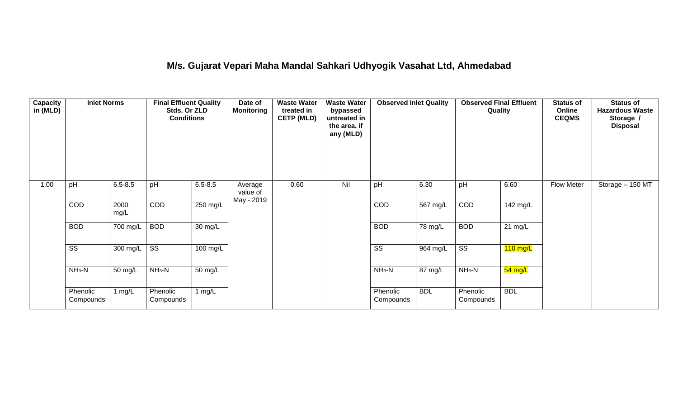## **M/s. Gujarat Vepari Maha Mandal Sahkari Udhyogik Vasahat Ltd, Ahmedabad**

| <b>Capacity</b><br>in (MLD) | <b>Inlet Norms</b>     |              | <b>Final Effluent Quality</b><br>Stds. Or ZLD<br><b>Conditions</b> |             | Date of<br><b>Monitoring</b>      | <b>Waste Water</b><br>treated in<br><b>CETP (MLD)</b> | <b>Waste Water</b><br>bypassed<br>untreated in<br>the area, if<br>any (MLD) | <b>Observed Inlet Quality</b> |            | <b>Observed Final Effluent</b><br>Quality |                   | <b>Status of</b><br>Online<br><b>CEQMS</b> | <b>Status of</b><br><b>Hazardous Waste</b><br>Storage /<br><b>Disposal</b> |
|-----------------------------|------------------------|--------------|--------------------------------------------------------------------|-------------|-----------------------------------|-------------------------------------------------------|-----------------------------------------------------------------------------|-------------------------------|------------|-------------------------------------------|-------------------|--------------------------------------------|----------------------------------------------------------------------------|
| 1.00                        | pH                     | $6.5 - 8.5$  | pH                                                                 | $6.5 - 8.5$ | Average<br>value of<br>May - 2019 | 0.60                                                  | Nil                                                                         | pH                            | 6.30       | pH                                        | 6.60              | <b>Flow Meter</b>                          | Storage - 150 MT                                                           |
|                             | COD                    | 2000<br>mg/L | COD                                                                | 250 mg/L    |                                   |                                                       |                                                                             | COD                           | 567 mg/L   | COD                                       | 142 mg/L          |                                            |                                                                            |
|                             | <b>BOD</b>             | 700 mg/L     | <b>BOD</b>                                                         | 30 mg/L     |                                   |                                                       |                                                                             | <b>BOD</b>                    | 78 mg/L    | <b>BOD</b>                                | $21 \text{ mg/L}$ |                                            |                                                                            |
|                             | $\overline{\text{ss}}$ | 300 mg/L     | $\overline{\text{ss}}$                                             | $100$ mg/L  |                                   |                                                       |                                                                             | $\overline{\text{ss}}$        | 964 mg/L   | $\overline{\text{ss}}$                    | $110$ mg/L        |                                            |                                                                            |
|                             | $NH3-N$                | 50 mg/L      | $NH3-N$                                                            | 50 mg/L     |                                   |                                                       |                                                                             | $NH3-N$                       | 87 mg/L    | $NH3-N$                                   | 54 mg/L           |                                            |                                                                            |
|                             | Phenolic<br>Compounds  | 1 $mg/L$     | Phenolic<br>Compounds                                              | 1 mg/L      |                                   |                                                       |                                                                             | Phenolic<br>Compounds         | <b>BDL</b> | Phenolic<br>Compounds                     | <b>BDL</b>        |                                            |                                                                            |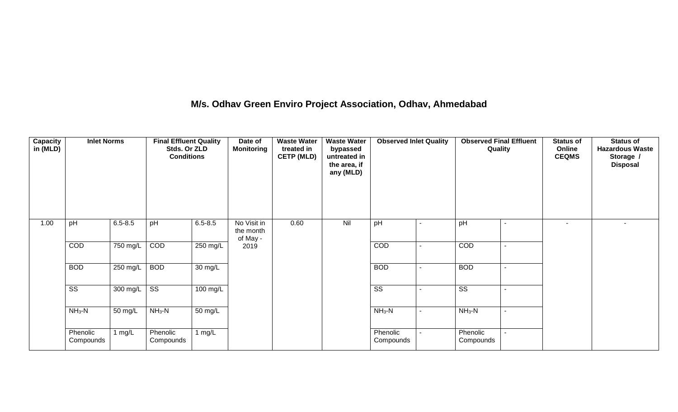## **M/s. Odhav Green Enviro Project Association, Odhav, Ahmedabad**

| Capacity<br>in (MLD) | <b>Inlet Norms</b>     |             | <b>Final Effluent Quality</b><br>Stds. Or ZLD<br><b>Conditions</b> |                      | Date of<br><b>Monitoring</b>         | <b>Waste Water</b><br>treated in<br><b>CETP (MLD)</b> | <b>Waste Water</b><br>bypassed<br>untreated in<br>the area, if<br>any (MLD) | <b>Observed Inlet Quality</b> | <b>Observed Final Effluent</b><br>Quality | <b>Status of</b><br>Online<br><b>CEQMS</b> | <b>Status of</b><br><b>Hazardous Waste</b><br>Storage /<br><b>Disposal</b> |
|----------------------|------------------------|-------------|--------------------------------------------------------------------|----------------------|--------------------------------------|-------------------------------------------------------|-----------------------------------------------------------------------------|-------------------------------|-------------------------------------------|--------------------------------------------|----------------------------------------------------------------------------|
| 1.00                 | pH                     | $6.5 - 8.5$ | pH                                                                 | $6.5 - 8.5$          | No Visit in<br>the month<br>of May - | 0.60                                                  | Nil                                                                         | pH                            | pH                                        |                                            | ٠                                                                          |
|                      | COD                    | 750 mg/L    | COD                                                                | $250$ mg/L           | 2019                                 |                                                       |                                                                             | COD                           | COD                                       |                                            |                                                                            |
|                      | <b>BOD</b>             | 250 mg/L    | <b>BOD</b>                                                         | 30 mg/L              |                                      |                                                       |                                                                             | <b>BOD</b>                    | <b>BOD</b>                                |                                            |                                                                            |
|                      | $\overline{\text{ss}}$ | 300 mg/L    | $\overline{\text{ss}}$                                             | 100 mg/L             |                                      |                                                       |                                                                             | SS                            | SS                                        |                                            |                                                                            |
|                      | $NH_3-N$               | 50 mg/L     | $NH3-N$                                                            | $\overline{50}$ mg/L |                                      |                                                       |                                                                             | $NH_3-N$                      | $NH3-N$                                   |                                            |                                                                            |
|                      | Phenolic<br>Compounds  | 1 $mg/L$    | Phenolic<br>Compounds                                              | 1 $mg/L$             |                                      |                                                       |                                                                             | Phenolic<br>Compounds         | Phenolic<br>Compounds                     |                                            |                                                                            |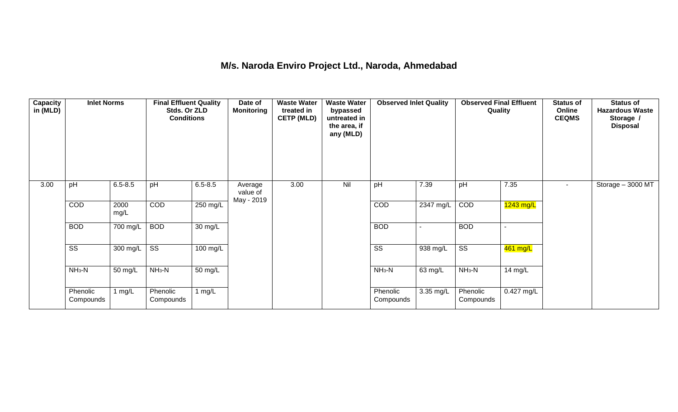## **M/s. Naroda Enviro Project Ltd., Naroda, Ahmedabad**

| <b>Capacity</b><br>in (MLD) | <b>Inlet Norms</b>     |              | <b>Final Effluent Quality</b><br>Stds. Or ZLD<br><b>Conditions</b> |                    | Date of<br><b>Monitoring</b>      | <b>Waste Water</b><br>treated in<br><b>CETP (MLD)</b> | <b>Waste Water</b><br>bypassed<br>untreated in<br>the area, if<br>any (MLD) | <b>Observed Inlet Quality</b> |           | <b>Observed Final Effluent</b><br>Quality |              | <b>Status of</b><br>Online<br><b>CEQMS</b> | <b>Status of</b><br><b>Hazardous Waste</b><br>Storage /<br><b>Disposal</b> |
|-----------------------------|------------------------|--------------|--------------------------------------------------------------------|--------------------|-----------------------------------|-------------------------------------------------------|-----------------------------------------------------------------------------|-------------------------------|-----------|-------------------------------------------|--------------|--------------------------------------------|----------------------------------------------------------------------------|
| 3.00                        | pH                     | $6.5 - 8.5$  | pH                                                                 | $6.5 - 8.5$        | Average<br>value of<br>May - 2019 | 3.00                                                  | Nil                                                                         | pH                            | 7.39      | pH                                        | 7.35         | $\sim$                                     | Storage - 3000 MT                                                          |
|                             | COD                    | 2000<br>mg/L | COD                                                                | 250 mg/L           |                                   |                                                       |                                                                             | COD                           | 2347 mg/L | COD                                       | $1243$ mg/L  |                                            |                                                                            |
|                             | <b>BOD</b>             | 700 mg/L     | <b>BOD</b>                                                         | 30 mg/L            |                                   |                                                       |                                                                             | <b>BOD</b>                    |           | <b>BOD</b>                                |              |                                            |                                                                            |
|                             | $\overline{\text{ss}}$ | 300 mg/L     | $\overline{\text{ss}}$                                             | $100 \text{ mg/L}$ |                                   |                                                       |                                                                             | $\overline{\text{ss}}$        | 938 mg/L  | $\overline{\text{ss}}$                    | 461 mg/L     |                                            |                                                                            |
|                             | $NH3-N$                | 50 mg/L      | $NH3-N$                                                            | 50 mg/L            |                                   |                                                       |                                                                             | $NH3-N$                       | 63 mg/L   | $NH3-N$                                   | 14 mg/L      |                                            |                                                                            |
|                             | Phenolic<br>Compounds  | 1 mg/L       | Phenolic<br>Compounds                                              | 1 $mg/L$           |                                   |                                                       |                                                                             | Phenolic<br>Compounds         | 3.35 mg/L | Phenolic<br>Compounds                     | $0.427$ mg/L |                                            |                                                                            |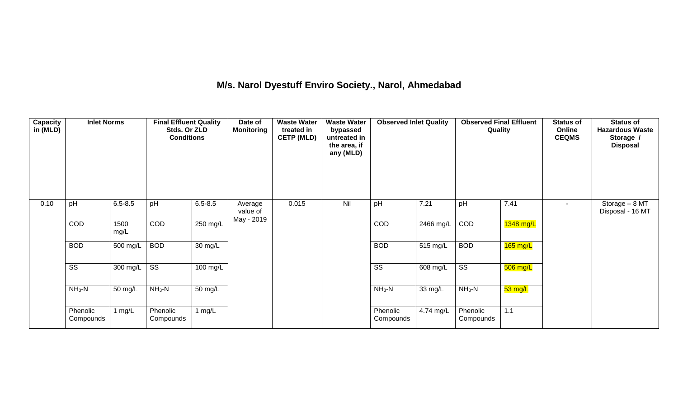## **M/s. Narol Dyestuff Enviro Society., Narol, Ahmedabad**

| <b>Capacity</b><br>in (MLD) | <b>Inlet Norms</b>     |              | <b>Final Effluent Quality</b><br>Stds. Or ZLD<br><b>Conditions</b> |                      | Date of<br><b>Monitoring</b>      | <b>Waste Water</b><br>treated in<br><b>CETP (MLD)</b> | <b>Waste Water</b><br>bypassed<br>untreated in<br>the area, if<br>any (MLD) | <b>Observed Inlet Quality</b> |                    | <b>Observed Final Effluent</b><br>Quality |            | <b>Status of</b><br>Online<br><b>CEQMS</b> | <b>Status of</b><br><b>Hazardous Waste</b><br>Storage /<br><b>Disposal</b> |
|-----------------------------|------------------------|--------------|--------------------------------------------------------------------|----------------------|-----------------------------------|-------------------------------------------------------|-----------------------------------------------------------------------------|-------------------------------|--------------------|-------------------------------------------|------------|--------------------------------------------|----------------------------------------------------------------------------|
| 0.10                        | pH                     | $6.5 - 8.5$  | pH                                                                 | $6.5 - 8.5$          | Average<br>value of<br>May - 2019 | 0.015                                                 | Nil                                                                         | pH                            | 7.21               | pH                                        | 7.41       | $\sim$                                     | Storage - 8 MT<br>Disposal - 16 MT                                         |
|                             | COD                    | 1500<br>mg/L | COD                                                                | 250 mg/L             |                                   |                                                       |                                                                             | COD                           | 2466 mg/L          | COD                                       | 1348 mg/L  |                                            |                                                                            |
|                             | <b>BOD</b>             | 500 mg/L     | <b>BOD</b>                                                         | 30 mg/L              |                                   |                                                       |                                                                             | <b>BOD</b>                    | $515 \text{ mg/L}$ | <b>BOD</b>                                | $165$ mg/L |                                            |                                                                            |
|                             | $\overline{\text{ss}}$ | 300 mg/L     | $\overline{\text{ss}}$                                             | $100$ mg/L           |                                   |                                                       |                                                                             | $\overline{\text{ss}}$        | 608 mg/L           | $\overline{\text{ss}}$                    | $506$ mg/L |                                            |                                                                            |
|                             | $NH3-N$                | 50 mg/L      | $NH3-N$                                                            | $\overline{50}$ mg/L |                                   |                                                       |                                                                             | $NH3-N$                       | 33 mg/L            | $NH_3-N$                                  | 53 mg/L    |                                            |                                                                            |
|                             | Phenolic<br>Compounds  | l mg/L       | Phenolic<br>Compounds                                              | 1 $mg/L$             |                                   |                                                       |                                                                             | Phenolic<br>Compounds         | 4.74 mg/L          | Phenolic<br>Compounds                     | 1.1        |                                            |                                                                            |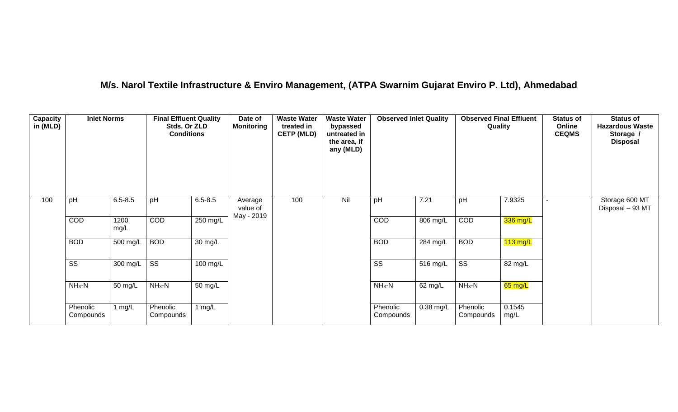## **M/s. Narol Textile Infrastructure & Enviro Management, (ATPA Swarnim Gujarat Enviro P. Ltd), Ahmedabad**

| <b>Capacity</b><br>in (MLD) | <b>Inlet Norms</b>     |              | <b>Final Effluent Quality</b><br>Stds. Or ZLD<br><b>Conditions</b> |                   | Date of<br><b>Monitoring</b>      | <b>Waste Water</b><br>treated in<br><b>CETP (MLD)</b> | <b>Waste Water</b><br>bypassed<br>untreated in<br>the area, if<br>any (MLD) | <b>Observed Inlet Quality</b> |             | <b>Observed Final Effluent</b><br>Quality |                    | <b>Status of</b><br>Online<br><b>CEQMS</b> | <b>Status of</b><br><b>Hazardous Waste</b><br>Storage /<br><b>Disposal</b> |
|-----------------------------|------------------------|--------------|--------------------------------------------------------------------|-------------------|-----------------------------------|-------------------------------------------------------|-----------------------------------------------------------------------------|-------------------------------|-------------|-------------------------------------------|--------------------|--------------------------------------------|----------------------------------------------------------------------------|
| 100                         | pH                     | $6.5 - 8.5$  | pH                                                                 | $6.5 - 8.5$       | Average<br>value of<br>May - 2019 | 100                                                   | Nil                                                                         | pH                            | 7.21        | pH                                        | 7.9325             |                                            | Storage 600 MT<br>Disposal - 93 MT                                         |
|                             | COD                    | 1200<br>mg/L | COD                                                                | $250$ mg/L        |                                   |                                                       |                                                                             | COD                           | 806 mg/L    | COD                                       | 336 mg/L           |                                            |                                                                            |
|                             | <b>BOD</b>             | 500 mg/L     | <b>BOD</b>                                                         | $30 \text{ mg/L}$ |                                   |                                                       |                                                                             | <b>BOD</b>                    | 284 mg/L    | <b>BOD</b>                                | $113 \text{ mg/L}$ |                                            |                                                                            |
|                             | $\overline{\text{ss}}$ | 300 mg/L     | $\overline{\text{ss}}$                                             | $100$ mg/L        |                                   |                                                       |                                                                             | $\overline{\text{ss}}$        | $516$ mg/L  | $\overline{\text{ss}}$                    | 82 mg/L            |                                            |                                                                            |
|                             | $NH3-N$                | 50 mg/L      | $NH3-N$                                                            | 50 mg/L           |                                   |                                                       |                                                                             | $NH_3-N$                      | 62 mg/L     | $NH_3-N$                                  | 65 mg/L            |                                            |                                                                            |
|                             | Phenolic<br>Compounds  | 1 mg/L       | Phenolic<br>Compounds                                              | 1 $mg/L$          |                                   |                                                       |                                                                             | Phenolic<br>Compounds         | $0.38$ mg/L | Phenolic<br>Compounds                     | 0.1545<br>mg/L     |                                            |                                                                            |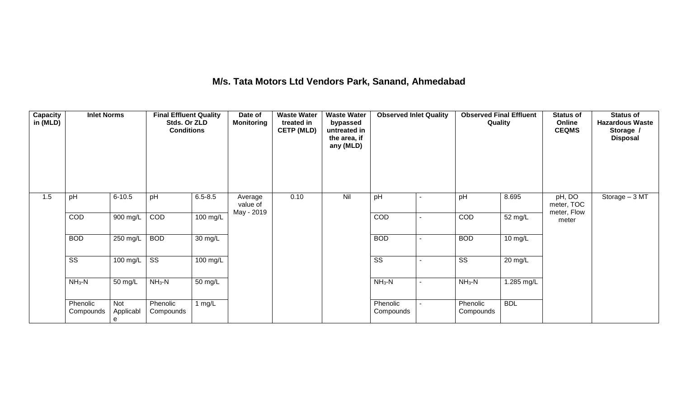## **M/s. Tata Motors Ltd Vendors Park, Sanand, Ahmedabad**

| Capacity<br>in (MLD) | <b>Inlet Norms</b>     |                       | <b>Final Effluent Quality</b><br>Stds. Or ZLD<br><b>Conditions</b> |                      | Date of<br><b>Monitoring</b>      | <b>Waste Water</b><br>treated in<br><b>CETP (MLD)</b> | <b>Waste Water</b><br>bypassed<br>untreated in<br>the area, if<br>any (MLD) | <b>Observed Inlet Quality</b> | <b>Observed Final Effluent</b><br>Quality |            | <b>Status of</b><br>Online<br><b>CEQMS</b> | <b>Status of</b><br><b>Hazardous Waste</b><br>Storage /<br><b>Disposal</b> |
|----------------------|------------------------|-----------------------|--------------------------------------------------------------------|----------------------|-----------------------------------|-------------------------------------------------------|-----------------------------------------------------------------------------|-------------------------------|-------------------------------------------|------------|--------------------------------------------|----------------------------------------------------------------------------|
| 1.5                  | pH                     | $6 - 10.5$            | pH                                                                 | $6.5 - 8.5$          | Average<br>value of<br>May - 2019 | 0.10                                                  | Nil                                                                         | pH                            | pH                                        | 8.695      | pH, DO<br>meter, TOC<br>meter, Flow        | Storage - 3 MT                                                             |
|                      | COD                    | $900$ mg/L            | COD                                                                | $100$ mg/L           |                                   |                                                       |                                                                             | COD                           | COD                                       | 52 mg/L    | meter                                      |                                                                            |
|                      | <b>BOD</b>             | $250$ mg/L            | <b>BOD</b>                                                         | $\overline{30}$ mg/L |                                   |                                                       |                                                                             | <b>BOD</b>                    | <b>BOD</b>                                | 10 mg/L    |                                            |                                                                            |
|                      | $\overline{\text{ss}}$ | $100$ mg/L            | $\overline{\text{ss}}$                                             | $100 \text{ mg/L}$   |                                   |                                                       |                                                                             | $\overline{\text{SS}}$        | $\overline{\text{SS}}$                    | 20 mg/L    |                                            |                                                                            |
|                      | $NH3-N$                | 50 mg/L               | $NH_3-N$                                                           | 50 mg/L              |                                   |                                                       |                                                                             | $NH_3-N$                      | $NH3-N$                                   | 1.285 mg/L |                                            |                                                                            |
|                      | Phenolic<br>Compounds  | Not<br>Applicabl<br>e | Phenolic<br>Compounds                                              | $1$ mg/L             |                                   |                                                       |                                                                             | Phenolic<br>Compounds         | Phenolic<br>Compounds                     | <b>BDL</b> |                                            |                                                                            |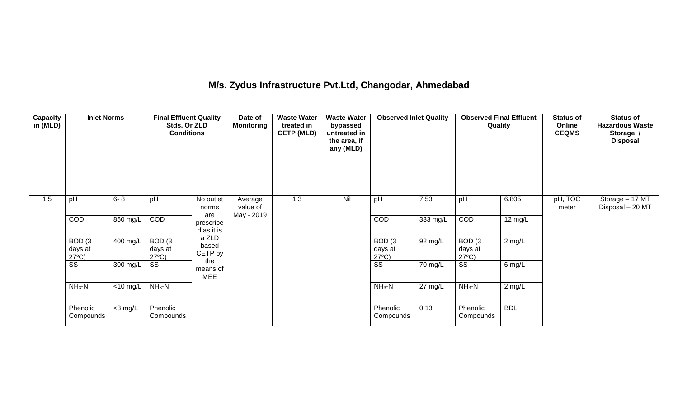## **M/s. Zydus Infrastructure Pvt.Ltd, Changodar, Ahmedabad**

| Capacity<br>in (MLD) | <b>Inlet Norms</b>                              |                               | <b>Final Effluent Quality</b><br>Stds. Or ZLD<br><b>Conditions</b> |                                | Date of<br><b>Monitoring</b>      | <b>Waste Water</b><br>treated in<br><b>CETP (MLD)</b> | <b>Waste Water</b><br>bypassed<br>untreated in<br>the area, if<br>any (MLD) | <b>Observed Inlet Quality</b>                   |          | <b>Observed Final Effluent</b><br>Quality |            | <b>Status of</b><br>Online<br><b>CEQMS</b> | <b>Status of</b><br><b>Hazardous Waste</b><br>Storage /<br><b>Disposal</b> |
|----------------------|-------------------------------------------------|-------------------------------|--------------------------------------------------------------------|--------------------------------|-----------------------------------|-------------------------------------------------------|-----------------------------------------------------------------------------|-------------------------------------------------|----------|-------------------------------------------|------------|--------------------------------------------|----------------------------------------------------------------------------|
| 1.5                  | pH                                              | $6 - 8$                       | pH                                                                 | No outlet<br>norms             | Average<br>value of<br>May - 2019 | 1.3                                                   | Nil                                                                         | pH                                              | 7.53     | pH                                        | 6.805      | pH, TOC<br>meter                           | Storage - 17 MT<br>Disposal - 20 MT                                        |
|                      | COD                                             | 850 mg/L                      | COD                                                                | are<br>prescribe<br>d as it is |                                   |                                                       |                                                                             | COD                                             | 333 mg/L | COD                                       | 12 mg/L    |                                            |                                                                            |
|                      | BOD <sub>(3</sub><br>days at<br>$27^{\circ}C$ ) | 400 mg/L                      | BOD <sub>(3</sub><br>days at<br>$27^{\circ}C$ )                    | a ZLD<br>based<br>CETP by      |                                   |                                                       |                                                                             | BOD <sub>(3</sub><br>days at<br>$27^{\circ}C$ ) | 92 mg/L  | BOD(3)<br>days at<br>$27^{\circ}C$ )      | $2$ mg/L   |                                            |                                                                            |
|                      | SS                                              | 300 mg/L                      | SS                                                                 | the<br>means of<br><b>MEE</b>  |                                   |                                                       |                                                                             | $\overline{\text{ss}}$                          | 70 mg/L  | $\overline{\text{ss}}$                    | 6 mg/L     |                                            |                                                                            |
|                      | $NH3-N$                                         | $\overline{<}10 \text{ mg/L}$ | $NH3-N$                                                            |                                |                                   |                                                       |                                                                             | $NH3-N$                                         | 27 mg/L  | $NH3-N$                                   | $2$ mg/L   |                                            |                                                                            |
|                      | Phenolic<br>Compounds                           | $<$ 3 mg/L                    | Phenolic<br>Compounds                                              |                                |                                   |                                                       |                                                                             | Phenolic<br>Compounds                           | 0.13     | Phenolic<br>Compounds                     | <b>BDL</b> |                                            |                                                                            |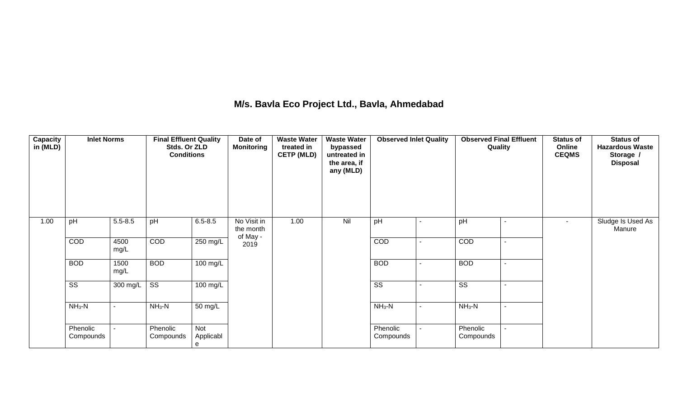## **M/s. Bavla Eco Project Ltd., Bavla, Ahmedabad**

| Capacity<br>in (MLD) | <b>Inlet Norms</b>     |              | <b>Final Effluent Quality</b><br>Stds. Or ZLD<br><b>Conditions</b> |                       | Date of<br><b>Monitoring</b>         | <b>Waste Water</b><br>treated in<br><b>CETP (MLD)</b> | <b>Waste Water</b><br>bypassed<br>untreated in<br>the area, if<br>any (MLD) | <b>Observed Inlet Quality</b> | <b>Observed Final Effluent</b><br>Quality | <b>Status of</b><br>Online<br><b>CEQMS</b> | <b>Status of</b><br><b>Hazardous Waste</b><br>Storage /<br><b>Disposal</b> |
|----------------------|------------------------|--------------|--------------------------------------------------------------------|-----------------------|--------------------------------------|-------------------------------------------------------|-----------------------------------------------------------------------------|-------------------------------|-------------------------------------------|--------------------------------------------|----------------------------------------------------------------------------|
| 1.00                 | pH                     | $5.5 - 8.5$  | pH                                                                 | $6.5 - 8.5$           | No Visit in<br>the month<br>of May - | 1.00                                                  | Nil                                                                         | pH                            | pH                                        | $\sim$                                     | Sludge Is Used As<br>Manure                                                |
|                      | COD                    | 4500<br>mg/L | COD                                                                | 250 mg/L              | 2019                                 |                                                       |                                                                             | COD                           | COD                                       |                                            |                                                                            |
|                      | <b>BOD</b>             | 1500<br>mg/L | <b>BOD</b>                                                         | 100 mg/L              |                                      |                                                       |                                                                             | <b>BOD</b>                    | <b>BOD</b>                                |                                            |                                                                            |
|                      | $\overline{\text{SS}}$ | 300 mg/L     | $\overline{\text{ss}}$                                             | 100 mg/L              |                                      |                                                       |                                                                             | $\overline{\text{ss}}$        | $\overline{\text{SS}}$                    |                                            |                                                                            |
|                      | $NH3-N$                |              | $NH3-N$                                                            | 50 mg/L               |                                      |                                                       |                                                                             | $NH3-N$                       | $NH3-N$                                   |                                            |                                                                            |
|                      | Phenolic<br>Compounds  |              | Phenolic<br>Compounds                                              | Not<br>Applicabl<br>e |                                      |                                                       |                                                                             | Phenolic<br>Compounds         | Phenolic<br>Compounds                     |                                            |                                                                            |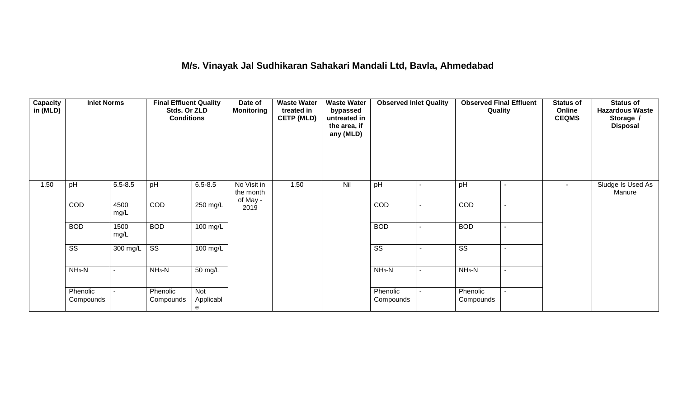## **M/s. Vinayak Jal Sudhikaran Sahakari Mandali Ltd, Bavla, Ahmedabad**

| Capacity<br>in (MLD) | <b>Inlet Norms</b>     |              | <b>Final Effluent Quality</b><br>Stds. Or ZLD<br><b>Conditions</b> |                       | Date of<br><b>Monitoring</b>         | <b>Waste Water</b><br>treated in<br><b>CETP (MLD)</b> | <b>Waste Water</b><br>bypassed<br>untreated in<br>the area, if<br>any (MLD) | <b>Observed Inlet Quality</b> |                          | <b>Observed Final Effluent</b><br>Quality | <b>Status of</b><br>Online<br><b>CEQMS</b> | <b>Status of</b><br><b>Hazardous Waste</b><br>Storage /<br><b>Disposal</b> |
|----------------------|------------------------|--------------|--------------------------------------------------------------------|-----------------------|--------------------------------------|-------------------------------------------------------|-----------------------------------------------------------------------------|-------------------------------|--------------------------|-------------------------------------------|--------------------------------------------|----------------------------------------------------------------------------|
| 1.50                 | pH                     | $5.5 - 8.5$  | pH                                                                 | $6.5 - 8.5$           | No Visit in<br>the month<br>of May - | 1.50                                                  | Nil                                                                         | pH                            |                          | pH                                        | $\sim$                                     | Sludge Is Used As<br>Manure                                                |
|                      | COD                    | 4500<br>mg/L | COD                                                                | 250 mg/L              | 2019                                 |                                                       |                                                                             | COD                           | $\overline{\phantom{0}}$ | COD                                       |                                            |                                                                            |
|                      | <b>BOD</b>             | 1500<br>mg/L | <b>BOD</b>                                                         | 100 mg/L              |                                      |                                                       |                                                                             | <b>BOD</b>                    | $\blacksquare$           | <b>BOD</b>                                |                                            |                                                                            |
|                      | $\overline{\text{ss}}$ | 300 mg/L     | $\overline{\text{SS}}$                                             | 100 mg/L              |                                      |                                                       |                                                                             | $\overline{\text{SS}}$        | $\overline{\phantom{a}}$ | $\overline{\text{ss}}$                    |                                            |                                                                            |
|                      | $NH3-N$                |              | $NH3-N$                                                            | 50 mg/L               |                                      |                                                       |                                                                             | $NH_3-N$                      | $\blacksquare$           | $NH3-N$                                   |                                            |                                                                            |
|                      | Phenolic<br>Compounds  |              | Phenolic<br>Compounds                                              | Not<br>Applicabl<br>e |                                      |                                                       |                                                                             | Phenolic<br>Compounds         | $\blacksquare$           | Phenolic<br>Compounds                     |                                            |                                                                            |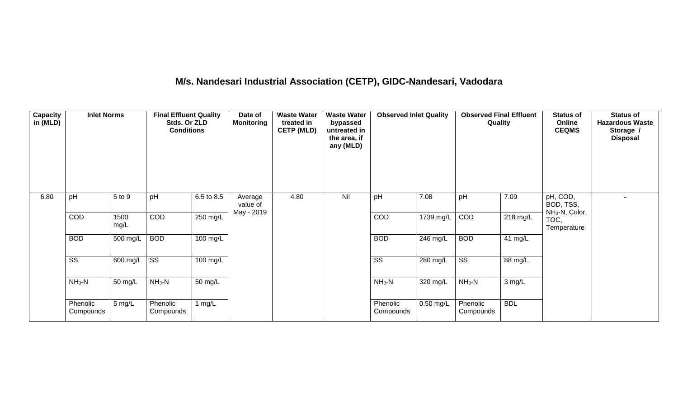# **M/s. Nandesari Industrial Association (CETP), GIDC-Nandesari, Vadodara**

| Capacity<br>in (MLD) | <b>Inlet Norms</b>     |              | <b>Final Effluent Quality</b><br>Stds. Or ZLD<br><b>Conditions</b> |            | Date of<br><b>Monitoring</b>      | <b>Waste Water</b><br>treated in<br><b>CETP (MLD)</b> | <b>Waste Water</b><br>bypassed<br>untreated in<br>the area, if<br>any (MLD) | <b>Observed Inlet Quality</b> |             | <b>Observed Final Effluent</b><br>Quality |                    | <b>Status of</b><br>Online<br><b>CEQMS</b>          | <b>Status of</b><br><b>Hazardous Waste</b><br>Storage /<br><b>Disposal</b> |
|----------------------|------------------------|--------------|--------------------------------------------------------------------|------------|-----------------------------------|-------------------------------------------------------|-----------------------------------------------------------------------------|-------------------------------|-------------|-------------------------------------------|--------------------|-----------------------------------------------------|----------------------------------------------------------------------------|
| 6.80                 | pH                     | 5 to 9       | pH                                                                 | 6.5 to 8.5 | Average<br>value of<br>May - 2019 | 4.80                                                  | Nil                                                                         | pH                            | 7.08        | pH                                        | 7.09               | pH, COD,<br>BOD, TSS,<br>NH <sub>3</sub> -N, Color, |                                                                            |
|                      | COD                    | 1500<br>mg/L | COD                                                                | 250 mg/L   |                                   |                                                       |                                                                             | COD                           | 1739 mg/L   | COD                                       | $218 \text{ mg/L}$ | TOC,<br>Temperature                                 |                                                                            |
|                      | <b>BOD</b>             | 500 mg/L     | <b>BOD</b>                                                         | $100$ mg/L |                                   |                                                       |                                                                             | <b>BOD</b>                    | 246 mg/L    | <b>BOD</b>                                | 41 $mg/L$          |                                                     |                                                                            |
|                      | $\overline{\text{ss}}$ | 600 mg/L     | $\overline{\text{ss}}$                                             | 100 mg/L   |                                   |                                                       |                                                                             | $\overline{\text{ss}}$        | $280$ mg/L  | $\overline{\text{ss}}$                    | 88 mg/L            |                                                     |                                                                            |
|                      | $NH3-N$                | 50 mg/L      | $NH3-N$                                                            | 50 mg/L    |                                   |                                                       |                                                                             | $NH3-N$                       | 320 mg/L    | $NH3-N$                                   | 3 mg/L             |                                                     |                                                                            |
|                      | Phenolic<br>Compounds  | 5 mg/L       | Phenolic<br>Compounds                                              | 1 $mg/L$   |                                   |                                                       |                                                                             | Phenolic<br>Compounds         | $0.50$ mg/L | Phenolic<br>Compounds                     | <b>BDL</b>         |                                                     |                                                                            |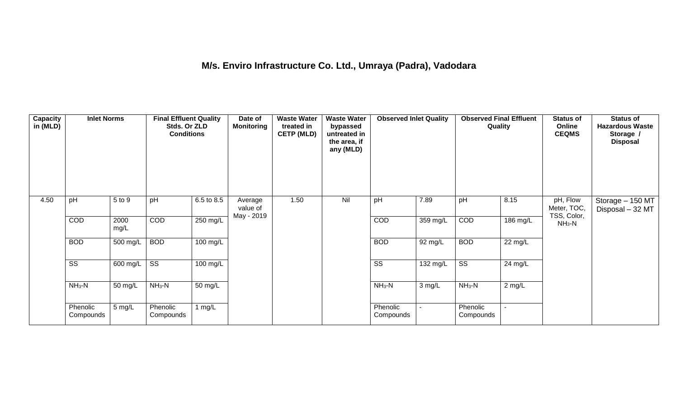## **M/s. Enviro Infrastructure Co. Ltd., Umraya (Padra), Vadodara**

| Capacity<br>in (MLD) | <b>Inlet Norms</b>     |              | <b>Final Effluent Quality</b><br>Stds. Or ZLD<br><b>Conditions</b> |                       | Date of<br><b>Monitoring</b>      | <b>Waste Water</b><br>treated in<br><b>CETP (MLD)</b> | <b>Waste Water</b><br>bypassed<br>untreated in<br>the area, if<br>any (MLD) | <b>Observed Inlet Quality</b> |            | <b>Observed Final Effluent</b><br>Quality |                | <b>Status of</b><br>Online<br><b>CEQMS</b> | <b>Status of</b><br><b>Hazardous Waste</b><br>Storage /<br><b>Disposal</b> |
|----------------------|------------------------|--------------|--------------------------------------------------------------------|-----------------------|-----------------------------------|-------------------------------------------------------|-----------------------------------------------------------------------------|-------------------------------|------------|-------------------------------------------|----------------|--------------------------------------------|----------------------------------------------------------------------------|
| 4.50                 | pH                     | 5 to 9       | pH                                                                 | 6.5 to 8.5            | Average<br>value of<br>May - 2019 | 1.50                                                  | Nil                                                                         | pH                            | 7.89       | pH                                        | 8.15           | pH, Flow<br>Meter, TOC,<br>TSS, Color,     | Storage - 150 MT<br>Disposal - 32 MT                                       |
|                      | COD                    | 2000<br>mg/L | COD                                                                | 250 mg/L              |                                   |                                                       |                                                                             | COD                           | $359$ mg/L | COD                                       | 186 mg/L       | $NH3-N$                                    |                                                                            |
|                      | <b>BOD</b>             | 500 mg/L     | <b>BOD</b>                                                         | $100$ mg/L            |                                   |                                                       |                                                                             | <b>BOD</b>                    | 92 mg/L    | <b>BOD</b>                                | 22 mg/L        |                                            |                                                                            |
|                      | $\overline{\text{ss}}$ | 600 mg/L     | $\overline{\text{ss}}$                                             | $\overline{100}$ mg/L |                                   |                                                       |                                                                             | $\overline{\text{ss}}$        | 132 mg/L   | $\overline{\text{ss}}$                    | 24 mg/L        |                                            |                                                                            |
|                      | $NH3-N$                | 50 mg/L      | $NH3-N$                                                            | 50 mg/L               |                                   |                                                       |                                                                             | $NH3-N$                       | 3 mg/L     | $NH_3-N$                                  | $2$ mg/L       |                                            |                                                                            |
|                      | Phenolic<br>Compounds  | 5 mg/L       | Phenolic<br>Compounds                                              | 1 $mg/L$              |                                   |                                                       |                                                                             | Phenolic<br>Compounds         |            | Phenolic<br>Compounds                     | $\blacksquare$ |                                            |                                                                            |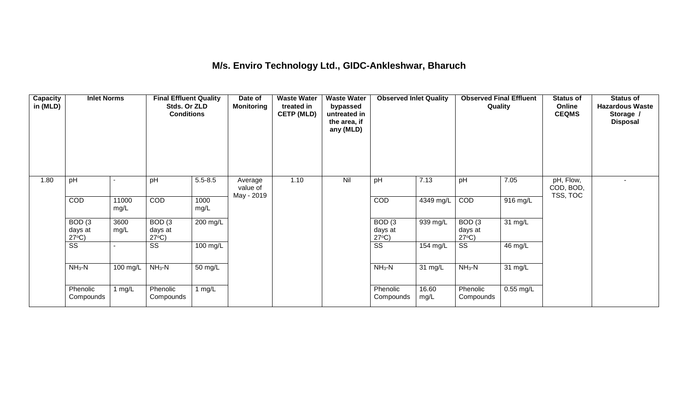### **M/s. Enviro Technology Ltd., GIDC-Ankleshwar, Bharuch**

| <b>Capacity</b><br>in (MLD) | <b>Inlet Norms</b>                              |               | <b>Final Effluent Quality</b><br>Stds. Or ZLD<br><b>Conditions</b> |              | Date of<br><b>Monitoring</b>      | <b>Waste Water</b><br>treated in<br><b>CETP (MLD)</b> | <b>Waste Water</b><br>bypassed<br>untreated in<br>the area, if<br>any (MLD) | <b>Observed Inlet Quality</b>        |               | <b>Observed Final Effluent</b><br>Quality |             | <b>Status of</b><br>Online<br><b>CEQMS</b> | <b>Status of</b><br><b>Hazardous Waste</b><br>Storage /<br><b>Disposal</b> |
|-----------------------------|-------------------------------------------------|---------------|--------------------------------------------------------------------|--------------|-----------------------------------|-------------------------------------------------------|-----------------------------------------------------------------------------|--------------------------------------|---------------|-------------------------------------------|-------------|--------------------------------------------|----------------------------------------------------------------------------|
| 1.80                        | pH                                              |               | pH                                                                 | $5.5 - 8.5$  | Average<br>value of<br>May - 2019 | 1.10                                                  | Nil                                                                         | pH                                   | 7.13          | pH                                        | 7.05        | pH, Flow,<br>COD, BOD,<br>TSS, TOC         |                                                                            |
|                             | COD                                             | 11000<br>mg/L | <b>COD</b>                                                         | 1000<br>mg/L |                                   |                                                       |                                                                             | <b>COD</b>                           | 4349 mg/L     | <b>COD</b>                                | 916 mg/L    |                                            |                                                                            |
|                             | BOD <sub>(3</sub><br>days at<br>$27^{\circ}C$ ) | 3600<br>mg/L  | BOD(3)<br>days at<br>$27^{\circ}C$ )                               | $200$ mg/L   |                                   |                                                       |                                                                             | BOD(3)<br>days at<br>$27^{\circ}C$ ) | 939 mg/L      | BOD(3)<br>days at<br>$27^{\circ}C$ )      | 31 mg/L     |                                            |                                                                            |
|                             | $\overline{\text{ss}}$                          |               | SS                                                                 | 100 mg/L     |                                   |                                                       |                                                                             | $\overline{\text{ss}}$               | 154 mg/L      | $\overline{\text{ss}}$                    | 46 mg/L     |                                            |                                                                            |
|                             | $NH3-N$                                         | 100 mg/L      | $NH_3-N$                                                           | 50 mg/L      |                                   |                                                       |                                                                             | $NH_3-N$                             | 31 mg/L       | $NH_3-N$                                  | 31 mg/L     |                                            |                                                                            |
|                             | Phenolic<br>Compounds                           | 1 mg/L        | Phenolic<br>Compounds                                              | 1 $mg/L$     |                                   |                                                       |                                                                             | Phenolic<br>Compounds                | 16.60<br>mg/L | Phenolic<br>Compounds                     | $0.55$ mg/L |                                            |                                                                            |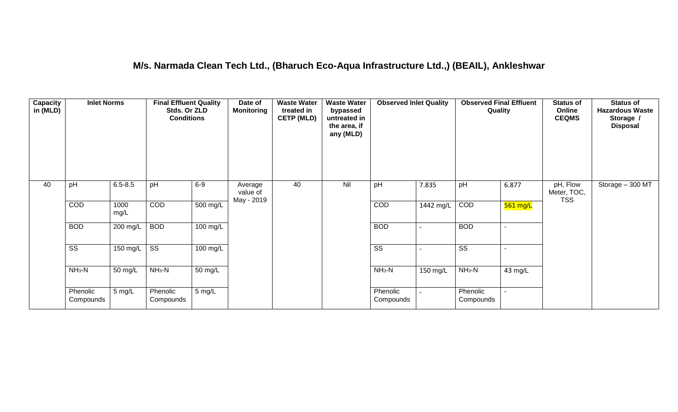### **M/s. Narmada Clean Tech Ltd., (Bharuch Eco-Aqua Infrastructure Ltd.,) (BEAIL), Ankleshwar**

| Capacity<br>in (MLD) | <b>Inlet Norms</b>     |                  | <b>Final Effluent Quality</b><br>Stds. Or ZLD<br><b>Conditions</b> |                      | Date of<br><b>Monitoring</b>      | <b>Waste Water</b><br>treated in<br><b>CETP (MLD)</b> | <b>Waste Water</b><br>bypassed<br>untreated in<br>the area, if<br>any (MLD) | <b>Observed Inlet Quality</b> |           | <b>Observed Final Effluent</b><br>Quality |                | <b>Status of</b><br>Online<br><b>CEQMS</b> | <b>Status of</b><br><b>Hazardous Waste</b><br>Storage /<br><b>Disposal</b> |
|----------------------|------------------------|------------------|--------------------------------------------------------------------|----------------------|-----------------------------------|-------------------------------------------------------|-----------------------------------------------------------------------------|-------------------------------|-----------|-------------------------------------------|----------------|--------------------------------------------|----------------------------------------------------------------------------|
| 40                   | pH                     | $6.5 - 8.5$      | pH                                                                 | $6-9$                | Average<br>value of<br>May - 2019 | 40                                                    | Nil                                                                         | pH                            | 7.835     | pH                                        | 6.877          | pH, Flow<br>Meter, TOC,<br><b>TSS</b>      | Storage - 300 MT                                                           |
|                      | COD                    | 1000<br>mg/L     | COD                                                                | $500 \text{ mg/L}$   |                                   |                                                       |                                                                             | COD                           | 1442 mg/L | COD                                       | $561$ mg/L     |                                            |                                                                            |
|                      | <b>BOD</b>             | 200 mg/L         | <b>BOD</b>                                                         | 100 mg/L             |                                   |                                                       |                                                                             | <b>BOD</b>                    |           | <b>BOD</b>                                | $\sim$         |                                            |                                                                            |
|                      | $\overline{\text{ss}}$ | 150 mg/L $\vert$ | $\overline{\text{ss}}$                                             | $100$ mg/L           |                                   |                                                       |                                                                             | $\overline{\text{ss}}$        |           | $\overline{\text{ss}}$                    | $\blacksquare$ |                                            |                                                                            |
|                      | $NH3-N$                | 50 mg/L          | $NH3-N$                                                            | $\overline{50}$ mg/L |                                   |                                                       |                                                                             | $NH3-N$                       | 150 mg/L  | $NH3-N$                                   | 43 mg/L        |                                            |                                                                            |
|                      | Phenolic<br>Compounds  | 5 mg/L           | Phenolic<br>Compounds                                              | $5 \text{ mg/L}$     |                                   |                                                       |                                                                             | Phenolic<br>Compounds         |           | Phenolic<br>Compounds                     |                |                                            |                                                                            |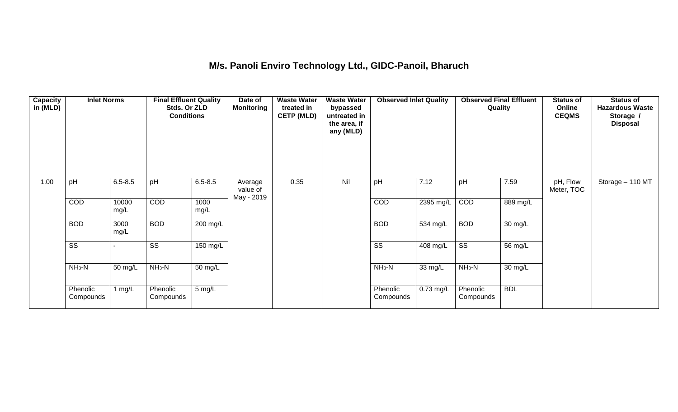## **M/s. Panoli Enviro Technology Ltd., GIDC-Panoil, Bharuch**

| <b>Capacity</b><br>in (MLD) | <b>Inlet Norms</b>     |               | <b>Final Effluent Quality</b><br>Stds. Or ZLD<br><b>Conditions</b> |              | Date of<br><b>Monitoring</b>      | <b>Waste Water</b><br>treated in<br><b>CETP (MLD)</b> | <b>Waste Water</b><br>bypassed<br>untreated in<br>the area, if<br>any (MLD) | <b>Observed Inlet Quality</b> |           | <b>Observed Final Effluent</b><br>Quality |                   | <b>Status of</b><br>Online<br><b>CEQMS</b> | <b>Status of</b><br><b>Hazardous Waste</b><br>Storage /<br><b>Disposal</b> |
|-----------------------------|------------------------|---------------|--------------------------------------------------------------------|--------------|-----------------------------------|-------------------------------------------------------|-----------------------------------------------------------------------------|-------------------------------|-----------|-------------------------------------------|-------------------|--------------------------------------------|----------------------------------------------------------------------------|
| 1.00                        | pH                     | $6.5 - 8.5$   | pH                                                                 | $6.5 - 8.5$  | Average<br>value of<br>May - 2019 | 0.35                                                  | Nil                                                                         | pH                            | 7.12      | pH                                        | 7.59              | pH, Flow<br>Meter, TOC                     | Storage - 110 MT                                                           |
|                             | COD                    | 10000<br>mg/L | <b>COD</b>                                                         | 1000<br>mg/L |                                   |                                                       |                                                                             | COD                           | 2395 mg/L | COD                                       | 889 mg/L          |                                            |                                                                            |
|                             | <b>BOD</b>             | 3000<br>mg/L  | <b>BOD</b>                                                         | 200 mg/L     |                                   |                                                       |                                                                             | <b>BOD</b>                    | 534 mg/L  | <b>BOD</b>                                | 30 mg/L           |                                            |                                                                            |
|                             | $\overline{\text{ss}}$ |               | SS                                                                 | 150 mg/L     |                                   |                                                       |                                                                             | $\overline{\text{ss}}$        | 408 mg/L  | $\overline{\text{ss}}$                    | 56 mg/L           |                                            |                                                                            |
|                             | $NH3-N$                | 50 mg/L       | $NH3-N$                                                            | 50 mg/L      |                                   |                                                       |                                                                             | $NH3-N$                       | 33 mg/L   | $NH3-N$                                   | $30 \text{ mg/L}$ |                                            |                                                                            |
|                             | Phenolic<br>Compounds  | 1 $mg/L$      | Phenolic<br>Compounds                                              | 5 mg/L       |                                   |                                                       |                                                                             | Phenolic<br>Compounds         | 0.73 mg/L | Phenolic<br>Compounds                     | <b>BDL</b>        |                                            |                                                                            |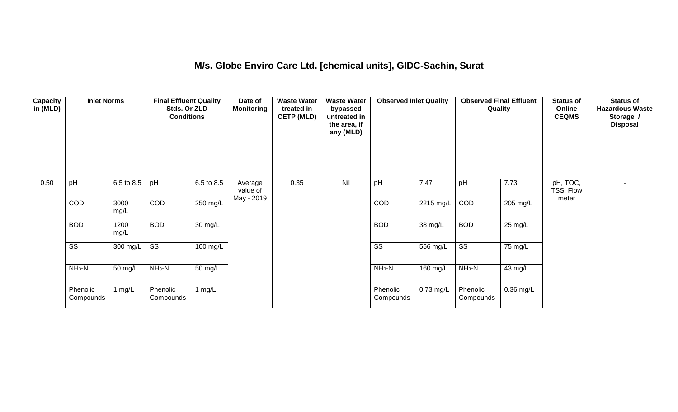### **M/s. Globe Enviro Care Ltd. [chemical units], GIDC-Sachin, Surat**

| <b>Capacity</b><br>in (MLD) | <b>Inlet Norms</b>     |              | <b>Final Effluent Quality</b><br>Stds. Or ZLD<br><b>Conditions</b> |                    | Date of<br><b>Monitoring</b>      | <b>Waste Water</b><br>treated in<br><b>CETP (MLD)</b> | <b>Waste Water</b><br>bypassed<br>untreated in<br>the area, if<br>any (MLD) | <b>Observed Inlet Quality</b> |           | <b>Observed Final Effluent</b><br>Quality |                   | <b>Status of</b><br>Online<br><b>CEQMS</b> | <b>Status of</b><br><b>Hazardous Waste</b><br>Storage /<br><b>Disposal</b> |
|-----------------------------|------------------------|--------------|--------------------------------------------------------------------|--------------------|-----------------------------------|-------------------------------------------------------|-----------------------------------------------------------------------------|-------------------------------|-----------|-------------------------------------------|-------------------|--------------------------------------------|----------------------------------------------------------------------------|
| 0.50                        | pH                     | 6.5 to 8.5   | pH                                                                 | 6.5 to 8.5         | Average<br>value of<br>May - 2019 | 0.35                                                  | Nil                                                                         | pH                            | 7.47      | pH                                        | 7.73              | pH, TOC,<br>TSS, Flow<br>meter             |                                                                            |
|                             | COD                    | 3000<br>mg/L | COD                                                                | 250 mg/L           |                                   |                                                       |                                                                             | COD                           | 2215 mg/L | COD                                       | 205 mg/L          |                                            |                                                                            |
|                             | <b>BOD</b>             | 1200<br>mg/L | <b>BOD</b>                                                         | 30 mg/L            |                                   |                                                       |                                                                             | <b>BOD</b>                    | 38 mg/L   | <b>BOD</b>                                | $25 \text{ mg/L}$ |                                            |                                                                            |
|                             | $\overline{\text{ss}}$ | 300 mg/L     | $\overline{\text{ss}}$                                             | $100 \text{ mg/L}$ |                                   |                                                       |                                                                             | $\overline{\text{ss}}$        | 556 mg/L  | $\overline{\text{ss}}$                    | 75 mg/L           |                                            |                                                                            |
|                             | $NH3-N$                | 50 mg/L      | $NH3-N$                                                            | 50 mg/L            |                                   |                                                       |                                                                             | $NH3-N$                       | 160 mg/L  | $NH3-N$                                   | 43 mg/L           |                                            |                                                                            |
|                             | Phenolic<br>Compounds  | 1 mg/L       | Phenolic<br>Compounds                                              | 1 $mg/L$           |                                   |                                                       |                                                                             | Phenolic<br>Compounds         | 0.73 mg/L | Phenolic<br>Compounds                     | $0.36$ mg/L       |                                            |                                                                            |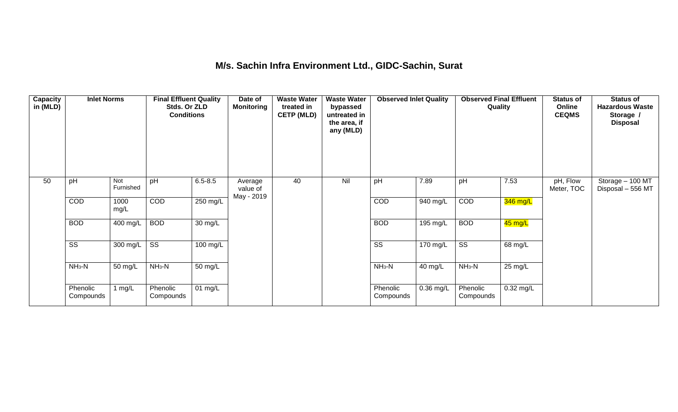### **M/s. Sachin Infra Environment Ltd., GIDC-Sachin, Surat**

| <b>Capacity</b><br>in (MLD) | <b>Inlet Norms</b>     |                  | <b>Final Effluent Quality</b><br>Stds. Or ZLD<br><b>Conditions</b> |                      | Date of<br><b>Monitoring</b>      | <b>Waste Water</b><br>treated in<br><b>CETP (MLD)</b> | <b>Waste Water</b><br>bypassed<br>untreated in<br>the area, if<br>any (MLD) | <b>Observed Inlet Quality</b> |             | <b>Observed Final Effluent</b><br>Quality |             | <b>Status of</b><br>Online<br><b>CEQMS</b> | <b>Status of</b><br><b>Hazardous Waste</b><br>Storage /<br><b>Disposal</b> |
|-----------------------------|------------------------|------------------|--------------------------------------------------------------------|----------------------|-----------------------------------|-------------------------------------------------------|-----------------------------------------------------------------------------|-------------------------------|-------------|-------------------------------------------|-------------|--------------------------------------------|----------------------------------------------------------------------------|
| 50                          | pH                     | Not<br>Furnished | pH                                                                 | $6.5 - 8.5$          | Average<br>value of<br>May - 2019 | 40                                                    | Nil                                                                         | pH                            | 7.89        | pH                                        | 7.53        | pH, Flow<br>Meter, TOC                     | Storage - 100 MT<br>Disposal - 556 MT                                      |
|                             | COD                    | 1000<br>mg/L     | <b>COD</b>                                                         | $250$ mg/L           |                                   |                                                       |                                                                             | COD                           | 940 mg/L    | COD                                       | 346 mg/L    |                                            |                                                                            |
|                             | <b>BOD</b>             | 400 mg/L         | <b>BOD</b>                                                         | $\overline{30}$ mg/L |                                   |                                                       |                                                                             | <b>BOD</b>                    | 195 mg/L    | <b>BOD</b>                                | 45 mg/L     |                                            |                                                                            |
|                             | $\overline{\text{SS}}$ | 300 mg/L         | $\overline{\text{ss}}$                                             | 100 mg/L             |                                   |                                                       |                                                                             | $\overline{\text{ss}}$        | 170 mg/L    | $\overline{\text{ss}}$                    | 68 mg/L     |                                            |                                                                            |
|                             | $NH3-N$                | 50 mg/L          | $NH_3-N$                                                           | $50 \text{ mg/L}$    |                                   |                                                       |                                                                             | $NH_3-N$                      | 40 mg/L     | $NH_3-N$                                  | 25 mg/L     |                                            |                                                                            |
|                             | Phenolic<br>Compounds  | mg/L             | Phenolic<br>Compounds                                              | 01 mg/L              |                                   |                                                       |                                                                             | Phenolic<br>Compounds         | $0.36$ mg/L | Phenolic<br>Compounds                     | $0.32$ mg/L |                                            |                                                                            |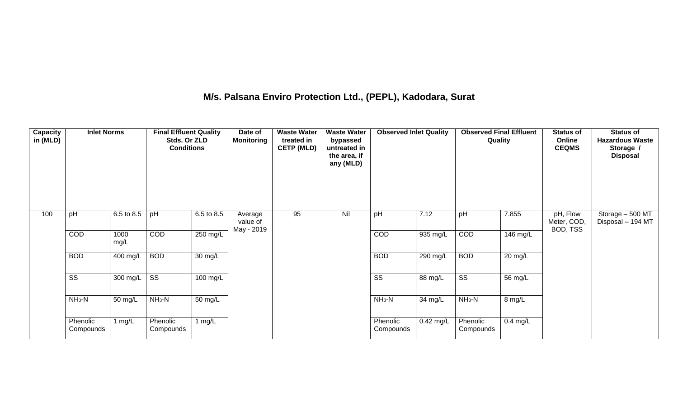## **M/s. Palsana Enviro Protection Ltd., (PEPL), Kadodara, Surat**

| Capacity<br>in (MLD) | <b>Inlet Norms</b>     |              | <b>Final Effluent Quality</b><br>Stds. Or ZLD<br><b>Conditions</b> |                       | Date of<br><b>Monitoring</b>      | <b>Waste Water</b><br>treated in<br><b>CETP (MLD)</b> | <b>Waste Water</b><br>bypassed<br>untreated in<br>the area, if<br>any (MLD) | <b>Observed Inlet Quality</b> |             | <b>Observed Final Effluent</b><br>Quality |                      | <b>Status of</b><br>Online<br><b>CEQMS</b> | <b>Status of</b><br><b>Hazardous Waste</b><br>Storage /<br><b>Disposal</b> |
|----------------------|------------------------|--------------|--------------------------------------------------------------------|-----------------------|-----------------------------------|-------------------------------------------------------|-----------------------------------------------------------------------------|-------------------------------|-------------|-------------------------------------------|----------------------|--------------------------------------------|----------------------------------------------------------------------------|
| 100                  | pH                     | 6.5 to 8.5   | pH                                                                 | 6.5 to 8.5            | Average<br>value of<br>May - 2019 | 95                                                    | Nil                                                                         | pH                            | 7.12        | pH                                        | 7.855                | pH, Flow<br>Meter, COD,<br>BOD, TSS        | Storage - 500 MT<br>Disposal - 194 MT                                      |
|                      | COD                    | 1000<br>mg/L | COD                                                                | 250 mg/L              |                                   |                                                       |                                                                             | COD                           | 935 mg/L    | COD                                       | 146 mg/L             |                                            |                                                                            |
|                      | <b>BOD</b>             | 400 mg/L     | <b>BOD</b>                                                         | $30 \text{ mg/L}$     |                                   |                                                       |                                                                             | <b>BOD</b>                    | $290$ mg/L  | <b>BOD</b>                                | $\overline{20}$ mg/L |                                            |                                                                            |
|                      | $\overline{\text{ss}}$ | 300 mg/L     | $\overline{\text{ss}}$                                             | $\overline{100}$ mg/L |                                   |                                                       |                                                                             | $\overline{\text{SS}}$        | 88 mg/L     | $\overline{\text{ss}}$                    | 56 mg/L              |                                            |                                                                            |
|                      | $NH3-N$                | 50 mg/L      | $NH_3-N$                                                           | 50 mg/L               |                                   |                                                       |                                                                             | $NH_3-N$                      | 34 mg/L     | $NH_3-N$                                  | 8 mg/L               |                                            |                                                                            |
|                      | Phenolic<br>Compounds  | 1 $mg/L$     | Phenolic<br>Compounds                                              | 1 $mg/L$              |                                   |                                                       |                                                                             | Phenolic<br>Compounds         | $0.42$ mg/L | Phenolic<br>Compounds                     | $0.4$ mg/L           |                                            |                                                                            |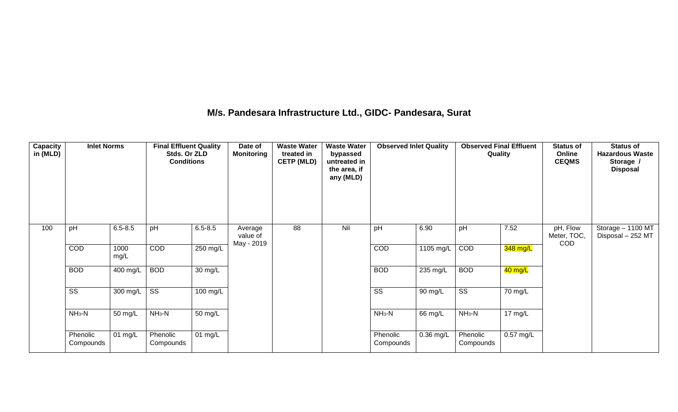### **M/s. Pandesara Infrastructure Ltd., GIDC- Pandesara, Surat**

| Capacity<br>in (MLD) | <b>Inlet Norms</b>     |              | <b>Final Effluent Quality</b><br>Stds. Or ZLD<br><b>Conditions</b> |                      | Date of<br><b>Monitoring</b>      | <b>Waste Water</b><br>treated in<br><b>CETP (MLD)</b> | <b>Waste Water</b><br>bypassed<br>untreated in<br>the area, if<br>any (MLD) | <b>Observed Inlet Quality</b> |                    | <b>Observed Final Effluent</b><br>Quality |                   | <b>Status of</b><br>Online<br><b>CEQMS</b> | <b>Status of</b><br><b>Hazardous Waste</b><br>Storage /<br><b>Disposal</b> |
|----------------------|------------------------|--------------|--------------------------------------------------------------------|----------------------|-----------------------------------|-------------------------------------------------------|-----------------------------------------------------------------------------|-------------------------------|--------------------|-------------------------------------------|-------------------|--------------------------------------------|----------------------------------------------------------------------------|
| 100                  | pH                     | $6.5 - 8.5$  | pH                                                                 | $6.5 - 8.5$          | Average<br>value of<br>May - 2019 | 88                                                    | Nil                                                                         | pH                            | 6.90               | pH                                        | 7.52              | pH, Flow<br>Meter, TOC,<br>COD             | Storage - 1100 MT<br>Disposal - 252 MT                                     |
|                      | COD                    | 1000<br>mg/L | <b>COD</b>                                                         | 250 mg/L             |                                   |                                                       |                                                                             | <b>COD</b>                    | 1105 mg/L          | COD                                       | 348 mg/L          |                                            |                                                                            |
|                      | <b>BOD</b>             | 400 mg/L     | <b>BOD</b>                                                         | $\overline{30}$ mg/L |                                   |                                                       |                                                                             | <b>BOD</b>                    | $235 \text{ mg/L}$ | <b>BOD</b>                                | 40 mg/L           |                                            |                                                                            |
|                      | $\overline{\text{ss}}$ | 300 mg/L     | $\overline{\text{SS}}$                                             | 100 mg/L             |                                   |                                                       |                                                                             | $\overline{\text{ss}}$        | 90 mg/L            | $\overline{\text{ss}}$                    | 70 mg/L           |                                            |                                                                            |
|                      | $NH3-N$                | 50 mg/L      | $NH3-N$                                                            | 50 mg/L              |                                   |                                                       |                                                                             | $NH3-N$                       | 66 mg/L            | $NH3-N$                                   | $17 \text{ mg/L}$ |                                            |                                                                            |
|                      | Phenolic<br>Compounds  | 01 mg/L      | Phenolic<br>Compounds                                              | $01$ mg/L            |                                   |                                                       |                                                                             | Phenolic<br>Compounds         | $0.36$ mg/L        | Phenolic<br>Compounds                     | $0.57$ mg/L       |                                            |                                                                            |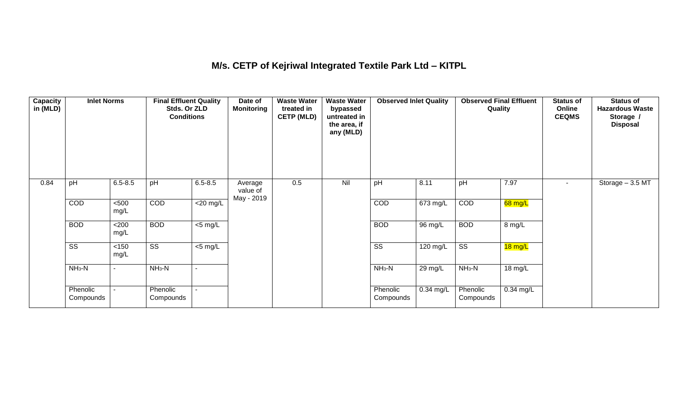## **M/s. CETP of Kejriwal Integrated Textile Park Ltd – KITPL**

| <b>Capacity</b><br>in (MLD) | <b>Inlet Norms</b>     |                | <b>Final Effluent Quality</b><br>Stds. Or ZLD<br><b>Conditions</b> |                     | Date of<br><b>Monitoring</b>      | <b>Waste Water</b><br>treated in<br><b>CETP (MLD)</b> | <b>Waste Water</b><br>bypassed<br>untreated in<br>the area, if<br>any (MLD) | <b>Observed Inlet Quality</b> |             | <b>Observed Final Effluent</b><br>Quality |             | <b>Status of</b><br>Online<br><b>CEQMS</b> | <b>Status of</b><br><b>Hazardous Waste</b><br>Storage /<br><b>Disposal</b> |
|-----------------------------|------------------------|----------------|--------------------------------------------------------------------|---------------------|-----------------------------------|-------------------------------------------------------|-----------------------------------------------------------------------------|-------------------------------|-------------|-------------------------------------------|-------------|--------------------------------------------|----------------------------------------------------------------------------|
| 0.84                        | pH                     | $6.5 - 8.5$    | pH                                                                 | $6.5 - 8.5$         | Average<br>value of<br>May - 2019 | 0.5                                                   | Nil                                                                         | pH                            | 8.11        | pH                                        | 7.97        | $\sim$ 10 $\,$                             | Storage - 3.5 MT                                                           |
|                             | COD                    | $500$<br>mg/L  | COD                                                                | $<$ 20 mg/L         |                                   |                                                       |                                                                             | COD                           | 673 mg/L    | COD                                       | 68 mg/L     |                                            |                                                                            |
|                             | <b>BOD</b>             | <200<br>mg/L   | <b>BOD</b>                                                         | $\overline{5}$ mg/L |                                   |                                                       |                                                                             | <b>BOD</b>                    | 96 mg/L     | <b>BOD</b>                                | 8 mg/L      |                                            |                                                                            |
|                             | $\overline{\text{ss}}$ | $<150$<br>mg/L | $\overline{\text{ss}}$                                             | $\overline{5}$ mg/L |                                   |                                                       |                                                                             | $\overline{\text{ss}}$        | 120 mg/L    | $\overline{\text{ss}}$                    | 18 mg/L     |                                            |                                                                            |
|                             | $NH_3-N$               | $\blacksquare$ | $NH3-N$                                                            |                     |                                   |                                                       |                                                                             | $NH_3-N$                      | 29 mg/L     | $NH_3-N$                                  | 18 mg/L     |                                            |                                                                            |
|                             | Phenolic<br>Compounds  | $\blacksquare$ | Phenolic<br>Compounds                                              |                     |                                   |                                                       |                                                                             | Phenolic<br>Compounds         | $0.34$ mg/L | Phenolic<br>Compounds                     | $0.34$ mg/L |                                            |                                                                            |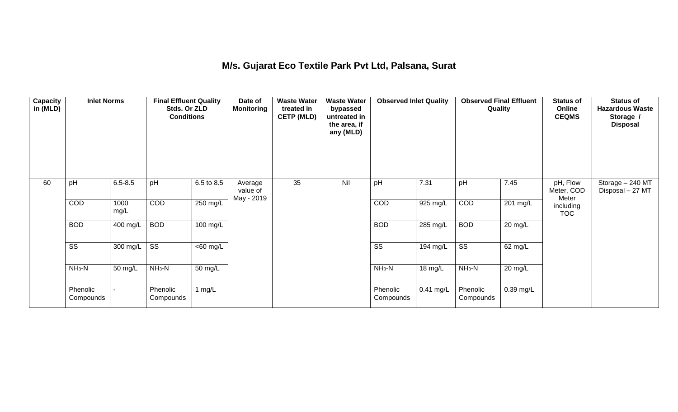## **M/s. Gujarat Eco Textile Park Pvt Ltd, Palsana, Surat**

| Capacity<br>in (MLD) | <b>Inlet Norms</b>     |              | <b>Final Effluent Quality</b><br>Stds. Or ZLD<br><b>Conditions</b> |                       | Date of<br><b>Monitoring</b>      | <b>Waste Water</b><br>treated in<br><b>CETP (MLD)</b> | <b>Waste Water</b><br>bypassed<br>untreated in<br>the area, if<br>any (MLD) | <b>Observed Inlet Quality</b> |             | <b>Observed Final Effluent</b><br>Quality |           | <b>Status of</b><br>Online<br><b>CEQMS</b> | <b>Status of</b><br><b>Hazardous Waste</b><br>Storage /<br><b>Disposal</b> |
|----------------------|------------------------|--------------|--------------------------------------------------------------------|-----------------------|-----------------------------------|-------------------------------------------------------|-----------------------------------------------------------------------------|-------------------------------|-------------|-------------------------------------------|-----------|--------------------------------------------|----------------------------------------------------------------------------|
| 60                   | pH                     | $6.5 - 8.5$  | pH                                                                 | 6.5 to 8.5            | Average<br>value of<br>May - 2019 | 35                                                    | Nil                                                                         | pH                            | 7.31        | pH                                        | 7.45      | pH, Flow<br>Meter, COD<br>Meter            | Storage - 240 MT<br>Disposal - 27 MT                                       |
|                      | COD                    | 1000<br>mg/L | COD                                                                | 250 mg/L              |                                   |                                                       |                                                                             | COD                           | 925 mg/L    | COD                                       | 201 mg/L  | including<br><b>TOC</b>                    |                                                                            |
|                      | <b>BOD</b>             | 400 mg/L     | <b>BOD</b>                                                         | 100 mg/L              |                                   |                                                       |                                                                             | <b>BOD</b>                    | 285 mg/L    | <b>BOD</b>                                | 20 mg/L   |                                            |                                                                            |
|                      | $\overline{\text{ss}}$ | 300 mg/L     | $\overline{\text{ss}}$                                             | $\overline{<}60$ mg/L |                                   |                                                       |                                                                             | $\overline{\text{ss}}$        | 194 mg/L    | $\overline{\text{ss}}$                    | 62 mg/L   |                                            |                                                                            |
|                      | $NH3-N$                | 50 mg/L      | $NH3-N$                                                            | 50 mg/L               |                                   |                                                       |                                                                             | $NH_3-N$                      | 18 mg/L     | $NH_3-N$                                  | 20 mg/L   |                                            |                                                                            |
|                      | Phenolic<br>Compounds  |              | Phenolic<br>Compounds                                              | 1 $mg/L$              |                                   |                                                       |                                                                             | Phenolic<br>Compounds         | $0.41$ mg/L | Phenolic<br>Compounds                     | 0.39 mg/L |                                            |                                                                            |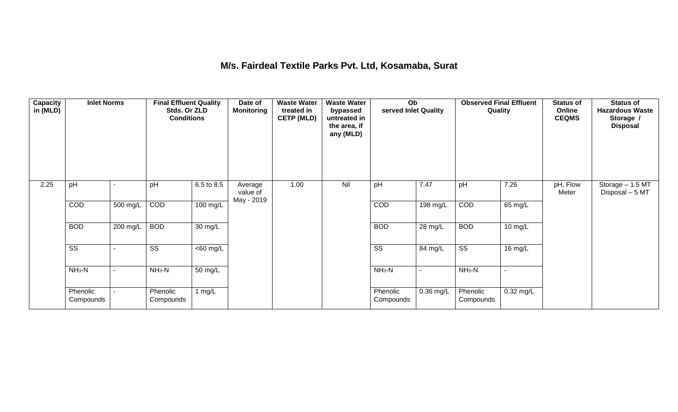### **M/s. Fairdeal Textile Parks Pvt. Ltd, Kosamaba, Surat**

| <b>Capacity</b><br>in (MLD) | <b>Inlet Norms</b>     |          | <b>Final Effluent Quality</b><br>Stds. Or ZLD<br><b>Conditions</b> |                      | Date of<br><b>Monitoring</b>      | <b>Waste Water</b><br>treated in<br><b>CETP (MLD)</b> | <b>Waste Water</b><br>bypassed<br>untreated in<br>the area, if<br>any (MLD) | Ob<br>served Inlet Quality |                | <b>Observed Final Effluent</b><br>Quality |                      | <b>Status of</b><br>Online<br><b>CEQMS</b> | <b>Status of</b><br><b>Hazardous Waste</b><br>Storage /<br><b>Disposal</b> |
|-----------------------------|------------------------|----------|--------------------------------------------------------------------|----------------------|-----------------------------------|-------------------------------------------------------|-----------------------------------------------------------------------------|----------------------------|----------------|-------------------------------------------|----------------------|--------------------------------------------|----------------------------------------------------------------------------|
| 2.25                        | pH                     |          | pH                                                                 | 6.5 to 8.5           | Average<br>value of<br>May - 2019 | 1.00                                                  | Nil                                                                         | pH                         | 7.47           | pH                                        | 7.26                 | pH, Flow<br>Meter                          | Storage - 1.5 MT<br>Disposal - 5 MT                                        |
|                             | COD                    | 500 mg/L | COD                                                                | 100 mg/L             |                                   |                                                       |                                                                             | COD                        | 198 mg/L       | COD                                       | 65 mg/L              |                                            |                                                                            |
|                             | <b>BOD</b>             | 200 mg/L | <b>BOD</b>                                                         | $\overline{30}$ mg/L |                                   |                                                       |                                                                             | <b>BOD</b>                 | 28 mg/L        | <b>BOD</b>                                | $10 \,\mathrm{mg/L}$ |                                            |                                                                            |
|                             | $\overline{\text{ss}}$ |          | $\overline{\text{ss}}$                                             | $\overline{60}$ mg/L |                                   |                                                       |                                                                             | $\overline{\text{ss}}$     | 84 mg/L        | $\overline{\text{ss}}$                    | 16 mg/L              |                                            |                                                                            |
|                             | $NH3-N$                |          | $NH3-N$                                                            | $\overline{50}$ mg/L |                                   |                                                       |                                                                             | $NH3-N$                    | $\blacksquare$ | $NH3-N$                                   |                      |                                            |                                                                            |
|                             | Phenolic<br>Compounds  |          | Phenolic<br>Compounds                                              | 1 $mg/L$             |                                   |                                                       |                                                                             | Phenolic<br>Compounds      | 0.36 mg/L      | Phenolic<br>Compounds                     | $0.32$ mg/L          |                                            |                                                                            |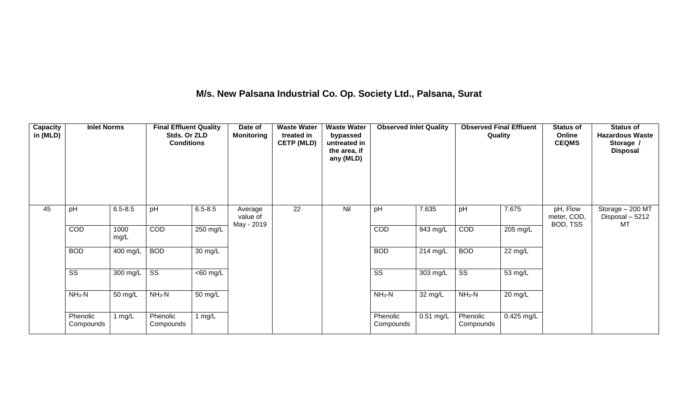## **M/s. New Palsana Industrial Co. Op. Society Ltd., Palsana, Surat**

| <b>Capacity</b><br>in (MLD) | <b>Inlet Norms</b>     |              | <b>Final Effluent Quality</b><br>Stds. Or ZLD<br><b>Conditions</b> |                       | Date of<br><b>Monitoring</b>      | <b>Waste Water</b><br>treated in<br><b>CETP (MLD)</b> | <b>Waste Water</b><br>bypassed<br>untreated in<br>the area, if<br>any (MLD) | <b>Observed Inlet Quality</b> |             | <b>Observed Final Effluent</b><br>Quality |                   | <b>Status of</b><br>Online<br><b>CEQMS</b> | <b>Status of</b><br><b>Hazardous Waste</b><br>Storage /<br><b>Disposal</b> |
|-----------------------------|------------------------|--------------|--------------------------------------------------------------------|-----------------------|-----------------------------------|-------------------------------------------------------|-----------------------------------------------------------------------------|-------------------------------|-------------|-------------------------------------------|-------------------|--------------------------------------------|----------------------------------------------------------------------------|
| 45                          | pH                     | $6.5 - 8.5$  | pH                                                                 | $6.5 - 8.5$           | Average<br>value of<br>May - 2019 | $\overline{22}$                                       | Nil                                                                         | pH                            | 7.635       | pH                                        | 7.675             | pH, Flow<br>meter, COD,<br>BOD, TSS        | Storage - 200 MT<br>Disposal - 5212<br>MT                                  |
|                             | COD                    | 1000<br>mg/L | COD                                                                | 250 mg/L              |                                   |                                                       |                                                                             | COD                           | 943 mg/L    | COD                                       | 205 mg/L          |                                            |                                                                            |
|                             | <b>BOD</b>             | 400 mg/L     | <b>BOD</b>                                                         | 30 mg/L               |                                   |                                                       |                                                                             | <b>BOD</b>                    | 214 mg/L    | <b>BOD</b>                                | $22 \text{ mg/L}$ |                                            |                                                                            |
|                             | $\overline{\text{ss}}$ | 300 mg/L     | $\overline{\text{ss}}$                                             | $\overline{<}60$ mg/L |                                   |                                                       |                                                                             | $\overline{\text{SS}}$        | 303 mg/L    | $\overline{\text{ss}}$                    | 53 mg/L           |                                            |                                                                            |
|                             | $NH3-N$                | 50 mg/L      | $NH3-N$                                                            | 50 mg/L               |                                   |                                                       |                                                                             | $NH3-N$                       | 32 mg/L     | $NH3-N$                                   | 20 mg/L           |                                            |                                                                            |
|                             | Phenolic<br>Compounds  | 1 mg/L       | Phenolic<br>Compounds                                              | 1 $mg/L$              |                                   |                                                       |                                                                             | Phenolic<br>Compounds         | $0.51$ mg/L | Phenolic<br>Compounds                     | $0.425$ mg/L      |                                            |                                                                            |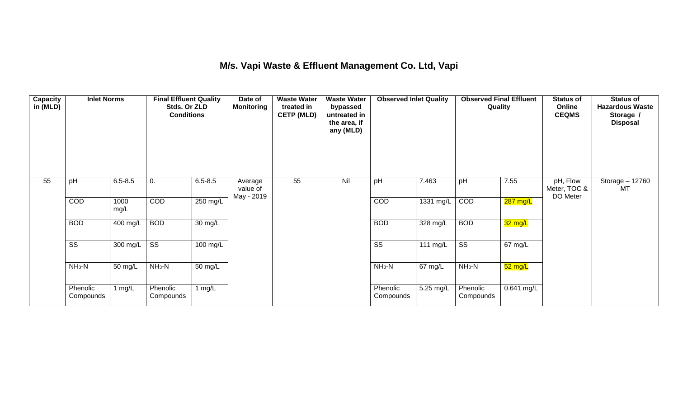## **M/s. Vapi Waste & Effluent Management Co. Ltd, Vapi**

| Capacity<br>in (MLD) | <b>Inlet Norms</b>     |              | <b>Final Effluent Quality</b><br>Stds. Or ZLD<br><b>Conditions</b> |                   | Date of<br>Monitoring             | <b>Waste Water</b><br>treated in<br><b>CETP (MLD)</b> | <b>Waste Water</b><br>bypassed<br>untreated in<br>the area, if<br>any (MLD) | <b>Observed Inlet Quality</b> |            | <b>Observed Final Effluent</b><br>Quality |                    | <b>Status of</b><br>Online<br><b>CEQMS</b> | <b>Status of</b><br><b>Hazardous Waste</b><br>Storage /<br><b>Disposal</b> |
|----------------------|------------------------|--------------|--------------------------------------------------------------------|-------------------|-----------------------------------|-------------------------------------------------------|-----------------------------------------------------------------------------|-------------------------------|------------|-------------------------------------------|--------------------|--------------------------------------------|----------------------------------------------------------------------------|
| 55                   | pH                     | $6.5 - 8.5$  | 0.                                                                 | $6.5 - 8.5$       | Average<br>value of<br>May - 2019 | 55                                                    | Nil                                                                         | pH                            | 7.463      | pH                                        | 7.55               | pH, Flow<br>Meter, TOC &<br>DO Meter       | Storage - 12760<br>MT                                                      |
|                      | COD                    | 1000<br>mg/L | COD                                                                | 250 mg/L          |                                   |                                                       |                                                                             | COD                           | 1331 mg/L  | COD                                       | $287 \text{ mg/L}$ |                                            |                                                                            |
|                      | <b>BOD</b>             | 400 mg/L     | <b>BOD</b>                                                         | $30 \text{ mg/L}$ |                                   |                                                       |                                                                             | <b>BOD</b>                    | 328 mg/L   | <b>BOD</b>                                | 32 mg/L            |                                            |                                                                            |
|                      | $\overline{\text{SS}}$ | 300 mg/L     | $\overline{\text{SS}}$                                             | 100 mg/L          |                                   |                                                       |                                                                             | $\overline{\text{ss}}$        | 111 $mg/L$ | $\overline{\text{ss}}$                    | 67 mg/L            |                                            |                                                                            |
|                      | $NH3-N$                | 50 mg/L      | $NH3-N$                                                            | 50 mg/L           |                                   |                                                       |                                                                             | $NH_3-N$                      | 67 mg/L    | $NH3-N$                                   | $52 \text{ mg/L}$  |                                            |                                                                            |
|                      | Phenolic<br>Compounds  | 1 mg/L       | Phenolic<br>Compounds                                              | 1 mg/ $L$         |                                   |                                                       |                                                                             | Phenolic<br>Compounds         | 5.25 mg/L  | Phenolic<br>Compounds                     | 0.641 mg/L         |                                            |                                                                            |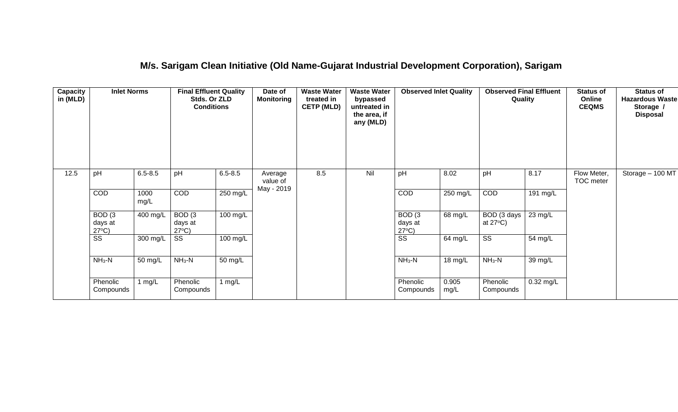### **M/s. Sarigam Clean Initiative (Old Name-Gujarat Industrial Development Corporation), Sarigam**

| Capacity<br>in (MLD) | <b>Inlet Norms</b>                              |              | <b>Final Effluent Quality</b><br>Stds. Or ZLD<br><b>Conditions</b> |             | Date of<br><b>Monitoring</b> | <b>Waste Water</b><br>treated in<br><b>CETP (MLD)</b><br>8.5 | <b>Waste Water</b><br>bypassed<br>untreated in<br>the area, if<br>any (MLD) | <b>Observed Inlet Quality</b>                   |               | <b>Observed Final Effluent</b><br>Quality |                      | <b>Status of</b><br>Online<br><b>CEQMS</b> | <b>Status of</b><br><b>Hazardous Waste</b><br>Storage /<br><b>Disposal</b> |
|----------------------|-------------------------------------------------|--------------|--------------------------------------------------------------------|-------------|------------------------------|--------------------------------------------------------------|-----------------------------------------------------------------------------|-------------------------------------------------|---------------|-------------------------------------------|----------------------|--------------------------------------------|----------------------------------------------------------------------------|
| 12.5                 | pH                                              | $6.5 - 8.5$  | pH                                                                 | $6.5 - 8.5$ | Average<br>value of          |                                                              | Nil                                                                         | pH                                              | 8.02          | pH                                        | 8.17                 | Flow Meter,<br><b>TOC</b> meter            | Storage - 100 MT                                                           |
|                      | COD                                             | 1000<br>mg/L | COD                                                                | 250 mg/L    | May - 2019                   |                                                              |                                                                             | COD                                             | $250$ mg/L    | COD                                       | $191$ mg/L           |                                            |                                                                            |
|                      | BOD <sub>(3</sub><br>days at<br>$27^{\circ}C$ ) | 400 mg/L     | BOD <sub>(3</sub><br>days at<br>$27^{\circ}C$ )                    | 100 mg/L    |                              |                                                              |                                                                             | BOD <sub>(3</sub><br>days at<br>$27^{\circ}C$ ) | 68 mg/L       | BOD (3 days<br>at $27^{\circ}$ C)         | $23 \text{ mg/L}$    |                                            |                                                                            |
|                      | SS                                              | 300 mg/L     | SS                                                                 | 100 mg/L    |                              |                                                              |                                                                             | SS                                              | 64 mg/L       | $\overline{\text{SS}}$                    | $\overline{5}4$ mg/L |                                            |                                                                            |
|                      | $NH3-N$                                         | 50 mg/L      | $NH3-N$                                                            | 50 mg/L     |                              |                                                              |                                                                             | $NH_3-N$                                        | 18 mg/L       | $NH3-N$                                   | 39 mg/L              |                                            |                                                                            |
|                      | Phenolic<br>1 $mg/L$<br>Compounds               |              | Phenolic<br>Compounds                                              | 1 mg/L      |                              |                                                              |                                                                             | Phenolic<br>Compounds                           | 0.905<br>mg/L | Phenolic<br>Compounds                     | $0.32$ mg/L          |                                            |                                                                            |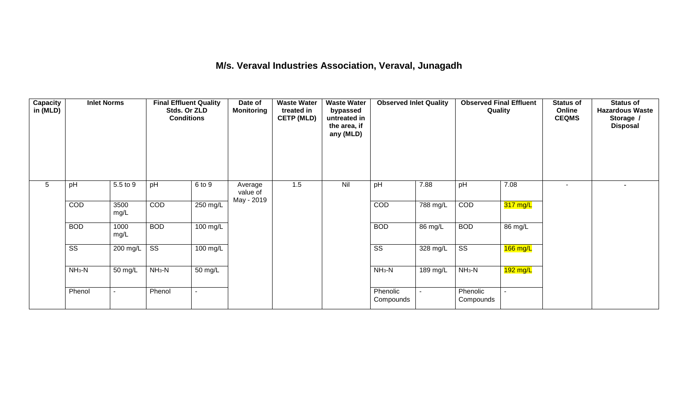### **M/s. Veraval Industries Association, Veraval, Junagadh**

| Capacity<br>in (MLD) | <b>Inlet Norms</b>     |                          | <b>Final Effluent Quality</b><br>Stds. Or ZLD<br><b>Conditions</b> |            | Date of<br><b>Monitoring</b>      | <b>Waste Water</b><br>treated in<br><b>CETP (MLD)</b> | <b>Waste Water</b><br>bypassed<br>untreated in<br>the area, if<br>any (MLD) | <b>Observed Inlet Quality</b> |          | <b>Observed Final Effluent</b><br>Quality |            | <b>Status of</b><br>Online<br><b>CEQMS</b> | <b>Status of</b><br><b>Hazardous Waste</b><br>Storage /<br><b>Disposal</b> |
|----------------------|------------------------|--------------------------|--------------------------------------------------------------------|------------|-----------------------------------|-------------------------------------------------------|-----------------------------------------------------------------------------|-------------------------------|----------|-------------------------------------------|------------|--------------------------------------------|----------------------------------------------------------------------------|
| 5                    | pH                     | 5.5 to 9                 | pH                                                                 | 6 to 9     | Average<br>value of<br>May - 2019 | 1.5                                                   | Nil                                                                         | pH                            | 7.88     | pH                                        | 7.08       | $\overline{\phantom{a}}$                   | Ξ.                                                                         |
|                      | COD                    | 3500<br>mg/L             | COD                                                                | 250 mg/L   |                                   |                                                       |                                                                             | COD                           | 788 mg/L | COD                                       | 317 mg/L   |                                            |                                                                            |
|                      | <b>BOD</b>             | 1000<br>mg/L             | <b>BOD</b>                                                         | 100 mg/L   |                                   |                                                       |                                                                             | <b>BOD</b>                    | 86 mg/L  | <b>BOD</b>                                | 86 mg/L    |                                            |                                                                            |
|                      | $\overline{\text{ss}}$ | 200 mg/L                 | $\overline{\text{ss}}$                                             | $100$ mg/L |                                   |                                                       |                                                                             | $\overline{\text{ss}}$        | 328 mg/L | $\overline{\text{ss}}$                    | $166$ mg/L |                                            |                                                                            |
|                      | $NH3-N$                | 50 mg/L                  | $NH3-N$                                                            | 50 mg/L    |                                   |                                                       |                                                                             | $NH3-N$                       | 189 mg/L | $NH3-N$                                   | $192$ mg/L |                                            |                                                                            |
|                      | Phenol                 | $\overline{\phantom{a}}$ | Phenol                                                             |            |                                   |                                                       |                                                                             | Phenolic<br>Compounds         |          | Phenolic<br>Compounds                     |            |                                            |                                                                            |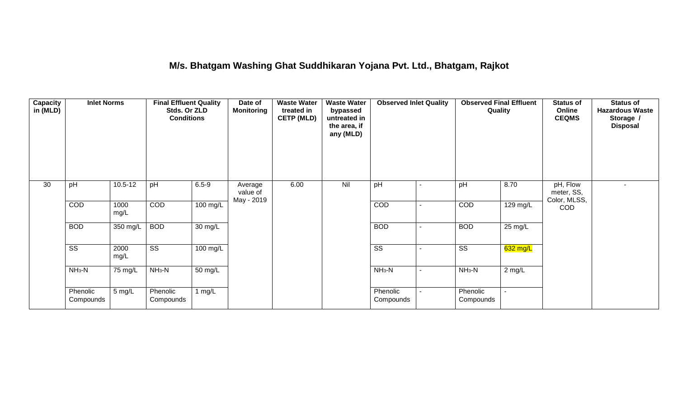### **M/s. Bhatgam Washing Ghat Suddhikaran Yojana Pvt. Ltd., Bhatgam, Rajkot**

| <b>Capacity</b><br>in (MLD) | <b>Inlet Norms</b><br>$10.5 - 12$<br>pH |              | <b>Final Effluent Quality</b><br>Stds. Or ZLD<br><b>Conditions</b> |                      | Date of<br><b>Monitoring</b>      | <b>Waste Water</b><br>treated in<br><b>CETP (MLD)</b> | <b>Waste Water</b><br>bypassed<br>untreated in<br>the area, if<br>any (MLD) | <b>Observed Inlet Quality</b> |  | <b>Observed Final Effluent</b><br>Quality |          | <b>Status of</b><br>Online<br><b>CEQMS</b> | <b>Status of</b><br><b>Hazardous Waste</b><br>Storage /<br><b>Disposal</b> |
|-----------------------------|-----------------------------------------|--------------|--------------------------------------------------------------------|----------------------|-----------------------------------|-------------------------------------------------------|-----------------------------------------------------------------------------|-------------------------------|--|-------------------------------------------|----------|--------------------------------------------|----------------------------------------------------------------------------|
| 30                          |                                         |              | pH                                                                 | $6.5 - 9$            | Average<br>value of<br>May - 2019 | 6.00                                                  | Nil                                                                         | pH                            |  | pH                                        | 8.70     | pH, Flow<br>meter, SS,<br>Color, MLSS,     |                                                                            |
|                             | COD                                     | 1000<br>mg/L | COD                                                                | $100$ mg/L           |                                   |                                                       |                                                                             | COD                           |  | COD                                       | 129 mg/L | <b>COD</b>                                 |                                                                            |
|                             | <b>BOD</b>                              | 350 mg/L     | <b>BOD</b>                                                         | 30 mg/L              |                                   |                                                       |                                                                             | <b>BOD</b>                    |  | <b>BOD</b>                                | 25 mg/L  |                                            |                                                                            |
|                             | $\overline{\text{ss}}$                  | 2000<br>mg/L | $\overline{\text{ss}}$                                             | $100$ mg/L           |                                   |                                                       |                                                                             | $\overline{\text{ss}}$        |  | $\overline{\text{ss}}$                    | 632 mg/L |                                            |                                                                            |
|                             | $NH3-N$                                 | 75 mg/L      | $NH3-N$                                                            | $\overline{50}$ mg/L |                                   |                                                       |                                                                             | $NH3-N$                       |  | $NH3-N$                                   | $2$ mg/L |                                            |                                                                            |
|                             | Phenolic<br>Compounds                   | 5 mg/L       | Phenolic<br>Compounds                                              | 1 $mg/L$             |                                   |                                                       |                                                                             | Phenolic<br>Compounds         |  | Phenolic<br>Compounds                     | $\sim$   |                                            |                                                                            |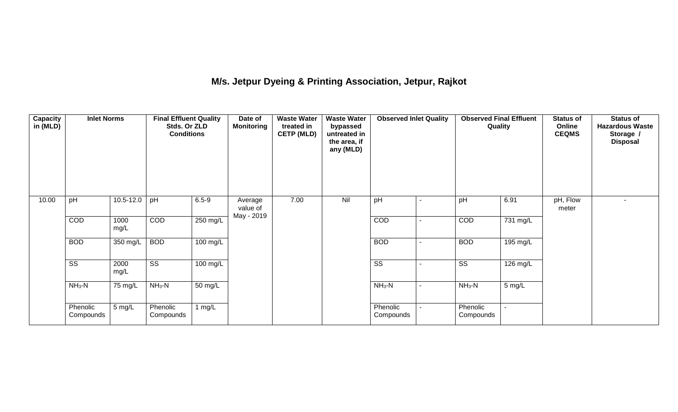# **M/s. Jetpur Dyeing & Printing Association, Jetpur, Rajkot**

| Capacity<br>in (MLD) | <b>Inlet Norms</b>     | 10.5-12.0<br>pH |                        | <b>Final Effluent Quality</b><br>Stds. Or ZLD<br><b>Conditions</b> |                                   | <b>Waste Water</b><br>treated in<br><b>CETP (MLD)</b> | <b>Waste Water</b><br>bypassed<br>untreated in<br>the area, if<br>any (MLD) | <b>Observed Inlet Quality</b> | <b>Observed Final Effluent</b><br>Quality |                       | <b>Status of</b><br>Online<br><b>CEQMS</b> | <b>Status of</b><br><b>Hazardous Waste</b><br>Storage /<br><b>Disposal</b> |
|----------------------|------------------------|-----------------|------------------------|--------------------------------------------------------------------|-----------------------------------|-------------------------------------------------------|-----------------------------------------------------------------------------|-------------------------------|-------------------------------------------|-----------------------|--------------------------------------------|----------------------------------------------------------------------------|
| 10.00                |                        |                 | pH                     | $6.5 - 9$                                                          | Average<br>value of<br>May - 2019 | 7.00                                                  | Nil                                                                         | pH                            | pH                                        | 6.91                  | pH, Flow<br>meter                          |                                                                            |
|                      | COD                    | 1000<br>mg/L    | COD                    | $250 \text{ mg/L}$                                                 |                                   |                                                       |                                                                             | COD                           | COD                                       | $\overline{731}$ mg/L |                                            |                                                                            |
|                      | <b>BOD</b>             | 350 mg/L        | <b>BOD</b>             | 100 mg/L                                                           |                                   |                                                       |                                                                             | <b>BOD</b>                    | <b>BOD</b>                                | 195 mg/L              |                                            |                                                                            |
|                      | $\overline{\text{ss}}$ | 2000<br>mg/L    | $\overline{\text{ss}}$ | $\overline{100}$ mg/L                                              |                                   |                                                       |                                                                             | $\overline{\text{ss}}$        | $\overline{\text{ss}}$                    | 126 mg/L              |                                            |                                                                            |
|                      | $NH3-N$                | 75 mg/L         | $NH3-N$                | 50 mg/L                                                            |                                   |                                                       |                                                                             | $NH_3-N$                      | $NH_3-N$<br>5 mg/L                        |                       |                                            |                                                                            |
|                      | Phenolic<br>Compounds  | 5 mg/L          | Phenolic<br>Compounds  | 1 $mg/L$                                                           |                                   |                                                       |                                                                             | Phenolic<br>Compounds         | Phenolic<br>Compounds                     |                       |                                            |                                                                            |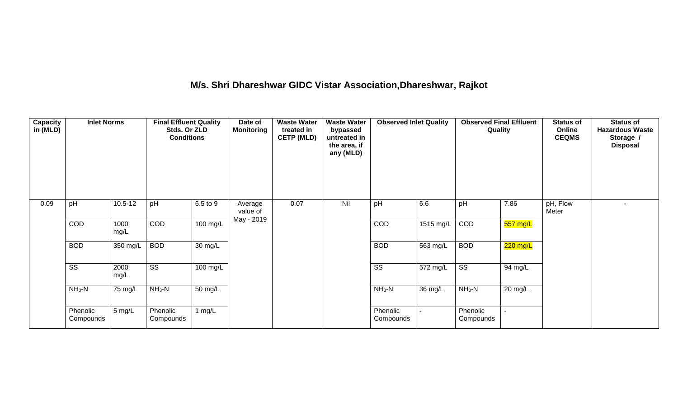# **M/s. Shri Dhareshwar GIDC Vistar Association,Dhareshwar, Rajkot**

| Capacity<br>in (MLD) | <b>Inlet Norms</b>     |              | <b>Final Effluent Quality</b><br>Stds. Or ZLD<br><b>Conditions</b> |                      | <b>Waste Water</b><br><b>Waste Water</b><br>Date of<br><b>Monitoring</b><br>treated in<br>bypassed<br><b>CETP (MLD)</b><br>untreated in<br>the area, if<br>any (MLD) |      | <b>Observed Inlet Quality</b> |                        | <b>Observed Final Effluent</b><br>Quality |                        | <b>Status of</b><br>Online<br><b>CEQMS</b> | <b>Status of</b><br><b>Hazardous Waste</b><br>Storage /<br><b>Disposal</b> |  |
|----------------------|------------------------|--------------|--------------------------------------------------------------------|----------------------|----------------------------------------------------------------------------------------------------------------------------------------------------------------------|------|-------------------------------|------------------------|-------------------------------------------|------------------------|--------------------------------------------|----------------------------------------------------------------------------|--|
| 0.09                 | pH                     | $10.5 - 12$  | pH                                                                 | 6.5 to 9             | Average<br>value of<br>May - 2019                                                                                                                                    | 0.07 | Nil                           | pH                     | 6.6                                       | pH                     | 7.86                                       | pH, Flow<br>Meter                                                          |  |
|                      | COD                    | 1000<br>mg/L | COD                                                                | 100 mg/L             |                                                                                                                                                                      |      |                               | COD                    | 1515 mg/L                                 | COD                    | 557 mg/L                                   |                                                                            |  |
|                      | <b>BOD</b>             | 350 mg/L     | <b>BOD</b>                                                         | $\overline{30}$ mg/L |                                                                                                                                                                      |      |                               | <b>BOD</b>             | $\overline{563}$ mg/L                     | <b>BOD</b>             | 220 mg/L                                   |                                                                            |  |
|                      | $\overline{\text{ss}}$ | 2000<br>mg/L | $\overline{\text{ss}}$                                             | $100 \text{ mg/L}$   |                                                                                                                                                                      |      |                               | $\overline{\text{ss}}$ | 572 mg/L                                  | $\overline{\text{SS}}$ | 94 mg/L                                    |                                                                            |  |
|                      | $NH3-N$                | 75 mg/L      | $NH3-N$                                                            | $\overline{50}$ mg/L |                                                                                                                                                                      |      |                               | $NH_3-N$               | $\overline{36}$ mg/L                      | $NH3-N$                | $20 \text{ mg/L}$                          |                                                                            |  |
|                      | Phenolic<br>Compounds  | 5 mg/L       | Phenolic<br>Compounds                                              | 1 $mg/L$             |                                                                                                                                                                      |      |                               | Phenolic<br>Compounds  |                                           | Phenolic<br>Compounds  |                                            |                                                                            |  |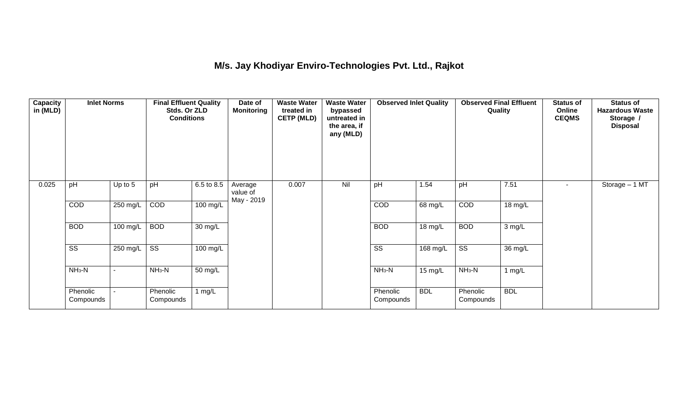## **M/s. Jay Khodiyar Enviro-Technologies Pvt. Ltd., Rajkot**

| <b>Capacity</b><br>in (MLD) | <b>Inlet Norms</b><br>pH<br>Up to 5 |                          | <b>Final Effluent Quality</b><br>Stds. Or ZLD<br><b>Conditions</b> |                    | Date of<br><b>Monitoring</b>      | <b>Waste Water</b><br>treated in<br><b>CETP (MLD)</b> | <b>Waste Water</b><br>bypassed<br>untreated in<br>the area, if<br>any (MLD) | <b>Observed Inlet Quality</b> |                   | <b>Observed Final Effluent</b><br>Quality |            | <b>Status of</b><br>Online<br><b>CEQMS</b> | <b>Status of</b><br><b>Hazardous Waste</b><br>Storage /<br><b>Disposal</b> |
|-----------------------------|-------------------------------------|--------------------------|--------------------------------------------------------------------|--------------------|-----------------------------------|-------------------------------------------------------|-----------------------------------------------------------------------------|-------------------------------|-------------------|-------------------------------------------|------------|--------------------------------------------|----------------------------------------------------------------------------|
| 0.025                       |                                     |                          | pH                                                                 | 6.5 to 8.5         | Average<br>value of<br>May - 2019 | 0.007                                                 | Nil                                                                         | pH                            | 1.54              | pH                                        | 7.51       | $\sim$                                     | Storage - 1 MT                                                             |
|                             | COD                                 | 250 mg/L                 | COD                                                                | $100 \text{ mg/L}$ |                                   |                                                       |                                                                             | COD                           | 68 mg/L           | COD                                       | 18 mg/L    |                                            |                                                                            |
|                             | <b>BOD</b>                          | 100 mg/L                 | <b>BOD</b>                                                         | 30 mg/L            |                                   |                                                       |                                                                             | <b>BOD</b>                    | $18 \text{ mg/L}$ | <b>BOD</b>                                | 3 mg/L     |                                            |                                                                            |
|                             | $\overline{\text{ss}}$              | 250 mg/L                 | $\overline{\text{ss}}$                                             | 100 mg/L           |                                   |                                                       |                                                                             | $\overline{\text{ss}}$        | 168 mg/L          | $\overline{\text{ss}}$                    | 36 mg/L    |                                            |                                                                            |
|                             | $NH3-N$                             | $\overline{\phantom{a}}$ | $NH3-N$                                                            | 50 mg/L            |                                   |                                                       |                                                                             | $NH3-N$                       | 15 mg/L           | $NH3-N$                                   | $1$ mg/L   |                                            |                                                                            |
|                             | Phenolic<br>Compounds               |                          | Phenolic<br>Compounds                                              | 1 $mg/L$           |                                   |                                                       |                                                                             | Phenolic<br>Compounds         | <b>BDL</b>        | Phenolic<br>Compounds                     | <b>BDL</b> |                                            |                                                                            |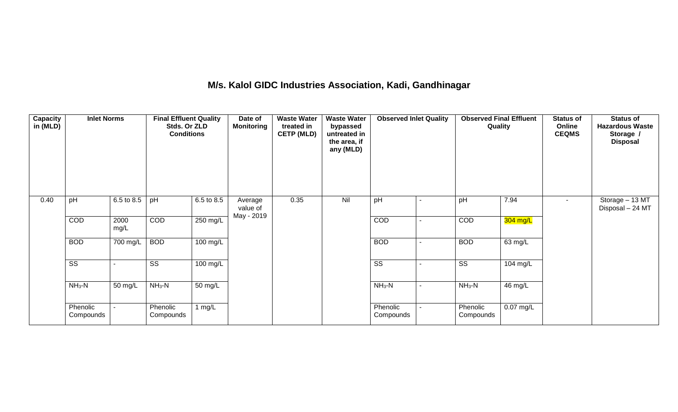### **M/s. Kalol GIDC Industries Association, Kadi, Gandhinagar**

| Capacity<br>in (MLD) | <b>Inlet Norms</b>     |              | <b>Final Effluent Quality</b><br>Stds. Or ZLD<br><b>Conditions</b> |                    | Date of<br><b>Monitoring</b> | <b>Waste Water</b><br>treated in<br><b>CETP (MLD)</b> | <b>Waste Water</b><br>bypassed<br>untreated in<br>the area, if<br>any (MLD) | <b>Observed Inlet Quality</b> |   | <b>Observed Final Effluent</b><br>Quality |             | <b>Status of</b><br>Online<br><b>CEQMS</b> | <b>Status of</b><br><b>Hazardous Waste</b><br>Storage /<br><b>Disposal</b> |
|----------------------|------------------------|--------------|--------------------------------------------------------------------|--------------------|------------------------------|-------------------------------------------------------|-----------------------------------------------------------------------------|-------------------------------|---|-------------------------------------------|-------------|--------------------------------------------|----------------------------------------------------------------------------|
| 0.40                 | pH                     | 6.5 to 8.5   | pH                                                                 | 6.5 to 8.5         | Average<br>value of          | 0.35                                                  | Nil                                                                         | pH                            |   | pH                                        | 7.94        |                                            | Storage - 13 MT<br>Disposal - 24 MT                                        |
|                      | COD                    | 2000<br>mg/L | COD                                                                | 250 mg/L           | May - 2019                   |                                                       |                                                                             | COD                           |   | COD                                       | 304 mg/L    |                                            |                                                                            |
|                      | <b>BOD</b>             | 700 mg/L     | <b>BOD</b>                                                         | $100 \text{ mg/L}$ |                              |                                                       |                                                                             | <b>BOD</b>                    |   | <b>BOD</b>                                | 63 mg/L     |                                            |                                                                            |
|                      | $\overline{\text{ss}}$ |              | $\overline{\text{ss}}$                                             | 100 mg/L           |                              |                                                       |                                                                             | $\overline{\text{ss}}$        | - | $\overline{\text{ss}}$                    | 104 mg/L    |                                            |                                                                            |
|                      | $NH3-N$                | 50 mg/L      | $NH3-N$                                                            | 50 mg/L            |                              |                                                       |                                                                             | $NH3-N$                       | ۰ | $NH_3-N$                                  | 46 mg/L     |                                            |                                                                            |
|                      | Phenolic<br>Compounds  |              | Phenolic<br>Compounds                                              | 1 $mg/L$           |                              |                                                       |                                                                             | Phenolic<br>Compounds         |   | Phenolic<br>Compounds                     | $0.07$ mg/L |                                            |                                                                            |